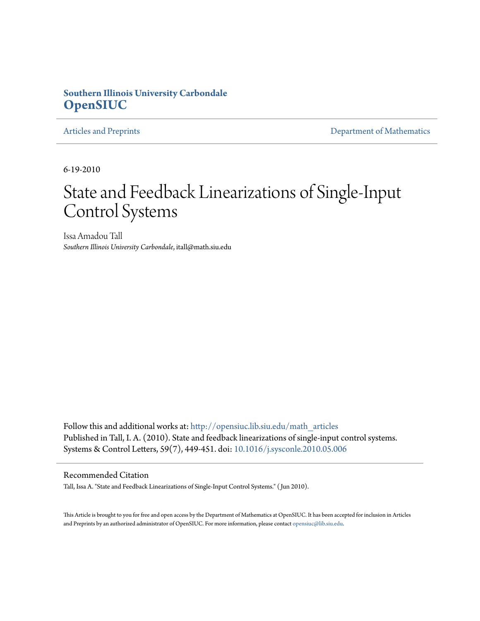# **Southern Illinois University Carbondale [OpenSIUC](http://opensiuc.lib.siu.edu?utm_source=opensiuc.lib.siu.edu%2Fmath_articles%2F110&utm_medium=PDF&utm_campaign=PDFCoverPages)**

[Articles and Preprints](http://opensiuc.lib.siu.edu/math_articles?utm_source=opensiuc.lib.siu.edu%2Fmath_articles%2F110&utm_medium=PDF&utm_campaign=PDFCoverPages) **[Department of Mathematics](http://opensiuc.lib.siu.edu/math?utm_source=opensiuc.lib.siu.edu%2Fmath_articles%2F110&utm_medium=PDF&utm_campaign=PDFCoverPages)** 

6-19-2010

# State and Feedback Linearizations of Single-Input Control Systems

Issa Amadou Tall *Southern Illinois University Carbondale*, itall@math.siu.edu

Follow this and additional works at: [http://opensiuc.lib.siu.edu/math\\_articles](http://opensiuc.lib.siu.edu/math_articles?utm_source=opensiuc.lib.siu.edu%2Fmath_articles%2F110&utm_medium=PDF&utm_campaign=PDFCoverPages) Published in Tall, I. A. (2010). State and feedback linearizations of single-input control systems. Systems & Control Letters, 59(7), 449-451. doi: [10.1016/j.sysconle.2010.05.006](http://dx.doi.org/10.1016/j.sysconle.2010.05.006)

### Recommended Citation

Tall, Issa A. "State and Feedback Linearizations of Single-Input Control Systems." ( Jun 2010).

This Article is brought to you for free and open access by the Department of Mathematics at OpenSIUC. It has been accepted for inclusion in Articles and Preprints by an authorized administrator of OpenSIUC. For more information, please contact [opensiuc@lib.siu.edu](mailto:opensiuc@lib.siu.edu).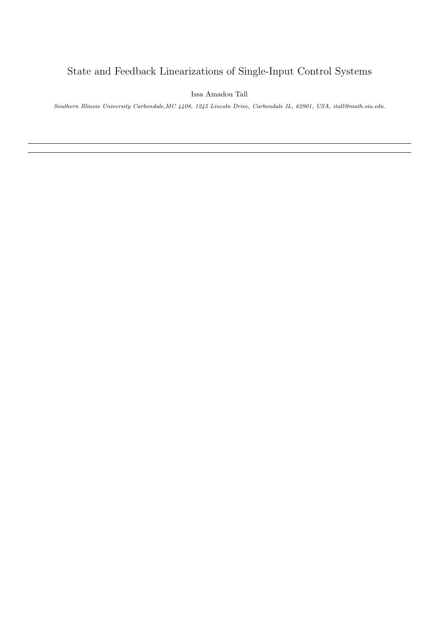# State and Feedback Linearizations of Single-Input Control Systems

Issa Amadou Tall

Southern Illinois University Carbondale,MC 4408, 1245 Lincoln Drive, Carbondale IL, 62901, USA, itall@math.siu.edu.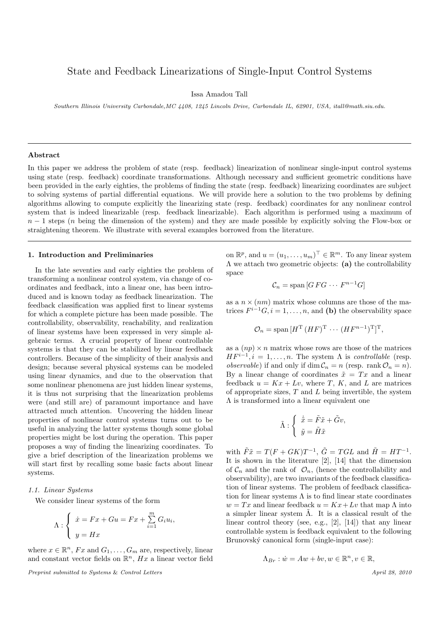## State and Feedback Linearizations of Single-Input Control Systems

Issa Amadou Tall

Southern Illinois University Carbondale,MC 4408, 1245 Lincoln Drive, Carbondale IL, 62901, USA, itall@math.siu.edu.

#### Abstract

In this paper we address the problem of state (resp. feedback) linearization of nonlinear single-input control systems using state (resp. feedback) coordinate transformations. Although necessary and sufficient geometric conditions have been provided in the early eighties, the problems of finding the state (resp. feedback) linearizing coordinates are subject to solving systems of partial differential equations. We will provide here a solution to the two problems by defining algorithms allowing to compute explicitly the linearizing state (resp. feedback) coordinates for any nonlinear control system that is indeed linearizable (resp. feedback linearizable). Each algorithm is performed using a maximum of  $n-1$  steps (n being the dimension of the system) and they are made possible by explicitly solving the Flow-box or straightening theorem. We illustrate with several examples borrowed from the literature.

#### 1. Introduction and Preliminaries

In the late seventies and early eighties the problem of transforming a nonlinear control system, via change of coordinates and feedback, into a linear one, has been introduced and is known today as feedback linearization. The feedback classification was applied first to linear systems for which a complete picture has been made possible. The controllability, observability, reachability, and realization of linear systems have been expressed in very simple algebraic terms. A crucial property of linear controllable systems is that they can be stabilized by linear feedback controllers. Because of the simplicity of their analysis and design; because several physical systems can be modeled using linear dynamics, and due to the observation that some nonlinear phenomena are just hidden linear systems, it is thus not surprising that the linearization problems were (and still are) of paramount importance and have attracted much attention. Uncovering the hidden linear properties of nonlinear control systems turns out to be useful in analyzing the latter systems though some global properties might be lost during the operation. This paper proposes a way of finding the linearizing coordinates. To give a brief description of the linearization problems we will start first by recalling some basic facts about linear systems.

#### 1.1. Linear Systems

We consider linear systems of the form

$$
\Lambda: \begin{cases} \dot{x} = Fx + Gu = Fx + \sum_{i=1}^{m} G_i u_i, \\ y = Hx \end{cases}
$$

where  $x \in \mathbb{R}^n$ ,  $Fx$  and  $G_1, \ldots, G_m$  are, respectively, linear and constant vector fields on  $\mathbb{R}^n$ ,  $Hx$  a linear vector field

Preprint submitted to Systems & Control Letters April 28, 2010

on  $\mathbb{R}^p$ , and  $u = (u_1, \ldots, u_m)^\top \in \mathbb{R}^m$ . To any linear system Λ we attach two geometric objects: (a) the controllability space

$$
\mathcal{C}_n = \text{span}\left[ G\,F\,G\,\cdots\,F^{n-1}G \right]
$$

as a  $n \times (nm)$  matrix whose columns are those of the matrices  $F^{i-1}G, i = 1, \ldots, n$ , and (b) the observability space

$$
\mathcal{O}_n = \text{span}[H^{\text{T}}(HF)^{\text{T}} \cdots (HF^{n-1})^{\text{T}}]^{\text{T}},
$$

as a  $(np) \times n$  matrix whose rows are those of the matrices  $HF^{i-1}, i = 1, \ldots, n$ . The system  $\Lambda$  is *controllable* (resp. *observable*) if and only if dim  $C_n = n$  (resp. rank  $\mathcal{O}_n = n$ ). By a linear change of coordinates  $\tilde{x} = Tx$  and a linear feedback  $u = Kx + Lv$ , where T, K, and L are matrices of appropriate sizes,  $T$  and  $L$  being invertible, the system Λ is transformed into a linear equivalent one

$$
\tilde{\Lambda} : \begin{cases} \dot{\tilde{x}} = \tilde{F}\tilde{x} + \tilde{G}v, \\ \tilde{y} = \tilde{H}\tilde{x} \end{cases}
$$

with  $\tilde{F}\tilde{x} = T(F + GK)T^{-1}$ ,  $\tilde{G} = TGL$  and  $\tilde{H} = HT^{-1}$ . It is shown in the literature [2], [14] that the dimension of  $\mathcal{C}_n$  and the rank of  $\mathcal{O}_n$ , (hence the controllability and observability), are two invariants of the feedback classification of linear systems. The problem of feedback classification for linear systems  $\Lambda$  is to find linear state coordinates  $w = Tx$  and linear feedback  $u = Kx + Lv$  that map  $\Lambda$  into a simpler linear system  $\Lambda$ . It is a classical result of the linear control theory (see, e.g., [2], [14]) that any linear controllable system is feedback equivalent to the following Brunovský canonical form (single-input case):

$$
\Lambda_{Br}: \dot{w}=Aw+bv, w\in\mathbb{R}^n, v\in\mathbb{R},
$$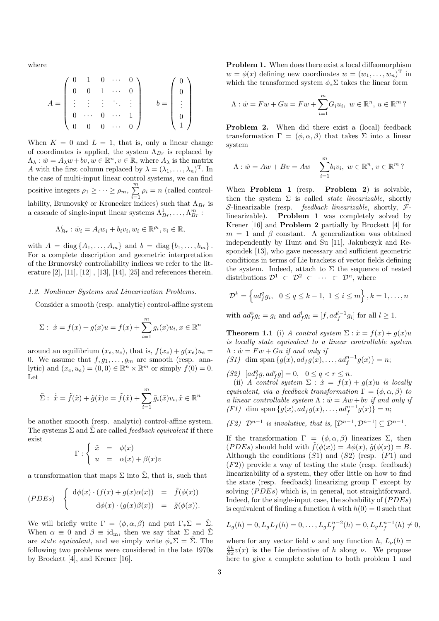where

$$
A = \begin{pmatrix} 0 & 1 & 0 & \cdots & 0 \\ 0 & 0 & 1 & \cdots & 0 \\ \vdots & \vdots & \vdots & \ddots & \vdots \\ 0 & \cdots & 0 & \cdots & 1 \\ 0 & 0 & 0 & \cdots & 0 \end{pmatrix} \qquad b = \begin{pmatrix} 0 \\ 0 \\ \vdots \\ 0 \\ 1 \end{pmatrix}
$$

When  $K = 0$  and  $L = 1$ , that is, only a linear change of coordinates is applied, the system  $\Lambda_{Br}$  is replaced by  $\Lambda_{\lambda}: \dot{w} = A_{\lambda}w + bv, w \in \mathbb{R}^n, v \in \mathbb{R}$ , where  $A_{\lambda}$  is the matrix A with the first column replaced by  $\lambda = (\lambda_1, \dots, \lambda_n)^T$ . In the case of multi-input linear control systems, we can find positive integers  $\rho_1 \geq \cdots \geq \rho_m$ ,  $\sum^m$  $\sum_{i=1} \rho_i = n$  (called controllability, Brunovský or Kronecker indices) such that  $\Lambda_{Br}$  is a cascade of single-input linear systems  $\Lambda_{Br}^1, \ldots, \Lambda_{Br}^m$ :

$$
\Lambda_{Br}^i : \dot{w}_i = A_i w_i + b_i v_i, w_i \in \mathbb{R}^{\rho_i}, v_i \in \mathbb{R},
$$

with  $A = \text{diag} \{A_1, ..., A_m\}$  and  $b = \text{diag} \{b_1, ..., b_m\}$ . For a complete description and geometric interpretation of the Brunovský controllability indices we refer to the literature  $[2]$ ,  $[11]$ ,  $[12]$ ,  $[13]$ ,  $[14]$ ,  $[25]$  and references therein.

#### 1.2. Nonlinear Systems and Linearization Problems.

Consider a smooth (resp. analytic) control-affine system

$$
\Sigma: \ \dot{x} = f(x) + g(x)u = f(x) + \sum_{i=1}^{m} g_i(x)u_i, x \in \mathbb{R}^n
$$

around an equilibrium  $(x_e, u_e)$ , that is,  $f(x_e) + g(x_e)u_e =$ 0. We assume that  $f, g_1, \ldots, g_m$  are smooth (resp. analytic) and  $(x_e, u_e) = (0, 0) \in \mathbb{R}^n \times \mathbb{R}^m$  or simply  $f(0) = 0$ . Let

$$
\tilde{\Sigma}: \ \dot{\tilde{x}} = \tilde{f}(\tilde{x}) + \tilde{g}(\tilde{x})v = \tilde{f}(\tilde{x}) + \sum_{i=1}^{m} \tilde{g}_i(\tilde{x})v_i, \tilde{x} \in \mathbb{R}^n
$$

be another smooth (resp. analytic) control-affine system. The systems  $\Sigma$  and  $\tilde{\Sigma}$  are called *feedback equivalent* if there exist

$$
\Gamma : \begin{cases} \tilde{x} = \phi(x) \\ u = \alpha(x) + \beta(x)v \end{cases}
$$

a transformation that maps  $\Sigma$  into  $\tilde{\Sigma}$ , that is, such that

$$
(PDEs) \quad \begin{cases} d\phi(x) \cdot (f(x) + g(x)\alpha(x)) & = \tilde{f}(\phi(x)) \\ d\phi(x) \cdot (g(x)\beta(x)) & = \tilde{g}(\phi(x)). \end{cases}
$$

We will briefly write  $\Gamma = (\phi, \alpha, \beta)$  and put  $\Gamma_* \Sigma = \tilde{\Sigma}$ . When  $\alpha \equiv 0$  and  $\beta \equiv id_m$ , then we say that  $\Sigma$  and  $\tilde{\Sigma}$ are *state equivalent*, and we simply write  $\phi_* \Sigma = \tilde{\Sigma}$ . The following two problems were considered in the late 1970s by Brockett [4], and Krener [16].

Problem 1. When does there exist a local diffeomorphism  $w = \phi(x)$  defining new coordinates  $w = (w_1, \ldots, w_n)$ <sup>T</sup> in which the transformed system  $\phi_*\Sigma$  takes the linear form

$$
\Lambda: \dot{w} = Fw + Gu = Fw + \sum_{i=1}^{m} G_i u_i, \ w \in \mathbb{R}^n, u \in \mathbb{R}^m
$$
?

Problem 2. When did there exist a (local) feedback transformation  $\Gamma = (\phi, \alpha, \beta)$  that takes  $\Sigma$  into a linear system

$$
\Lambda : \dot{w} = Aw + Bv = Aw + \sum_{i=1}^{m} b_i v_i, \ w \in \mathbb{R}^n, v \in \mathbb{R}^m
$$
?

When **Problem 1** (resp. **Problem 2**) is solvable, then the system  $\Sigma$  is called *state linearizable*, shortly S-linearizable (resp. *feedback linearizable*, shortly,  $F$ linearizable). Problem 1 was completely solved by Krener [16] and Problem 2 partially by Brockett [4] for  $m = 1$  and  $\beta$  constant. A generalization was obtained independently by Hunt and Su [11], Jakubczyk and Respondek [13], who gave necessary and sufficient geometric conditions in terms of Lie brackets of vector fields defining the system. Indeed, attach to  $\Sigma$  the sequence of nested distributions  $\mathcal{D}^1 \subset \mathcal{D}^2 \subset \cdots \subset \mathcal{D}^n$ , where

$$
\mathcal{D}^{k} = \left\{ ad_{f}^{q} g_{i}, \ 0 \leq q \leq k - 1, \ 1 \leq i \leq m \right\}, k = 1, \dots, n
$$

with  $ad_f^0 g_i = g_i$  and  $ad_f^l g_i = [f, ad_f^{l-1} g_i]$  for all  $l \geq 1$ .

**Theorem 1.1** (i) A control system  $\Sigma$  :  $\dot{x} = f(x) + g(x)u$ is locally state equivalent to a linear controllable system  $\Lambda$  :  $\dot{w} = Fw + Gu$  if and only if

(S1) dim span  $\{g(x), ad_f g(x), ..., ad_f^{n-1} g(x)\} = n;$ 

(S2)  $[ad_f^q g, ad_f^r g] = 0, \ \ 0 \le q < r \le n.$ 

(ii) A control system  $\Sigma : \dot{x} = f(x) + g(x)u$  is locally equivalent, via a feedback transformation  $\Gamma = (\phi, \alpha, \beta)$  to a linear controllable system  $\Lambda : \dot{w} = Aw + bv$  if and only if (F1) dim span  $\{g(x), ad_f g(x), ..., ad_f^{n-1} g(x)\} = n;$ 

(F2) 
$$
\mathcal{D}^{n-1}
$$
 is involutive, that is,  $[\mathcal{D}^{n-1}, \mathcal{D}^{n-1}] \subseteq \mathcal{D}^{n-1}$ .

If the transformation  $\Gamma = (\phi, \alpha, \beta)$  linearizes  $\Sigma$ , then (*PDEs*) should hold with  $\tilde{f}(\phi(x)) = A\phi(x), \tilde{g}(\phi(x)) = B$ . Although the conditions  $(S1)$  and  $(S2)$  (resp.  $(F1)$  and  $(F2)$ ) provide a way of testing the state (resp. feedback) linearizability of a system, they offer little on how to find the state (resp. feedback) linearizing group  $\Gamma$  except by solving  $(PDEs)$  which is, in general, not straightforward. Indeed, for the single-input case, the solvability of  $(PDEs)$ is equivalent of finding a function h with  $h(0) = 0$  such that

$$
L_g(h) = 0, L_g L_f(h) = 0, \dots, L_g L_f^{n-2}(h) = 0, L_g L_f^{n-1}(h) \neq 0,
$$

where for any vector field  $\nu$  and any function h,  $L_{\nu}(h)$  =  $\frac{\partial h}{\partial x}v(x)$  is the Lie derivative of h along  $\nu$ . We propose here to give a complete solution to both problem 1 and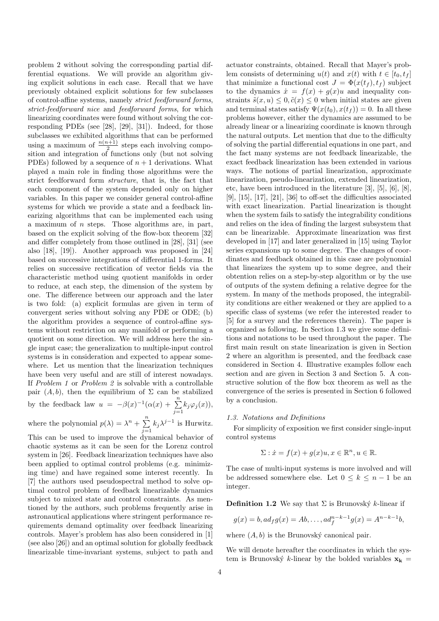problem 2 without solving the corresponding partial differential equations. We will provide an algorithm giving explicit solutions in each case. Recall that we have previously obtained explicit solutions for few subclasses of control-affine systems, namely strict feedforward forms, strict-feedforward nice and feedforward forms, for which linearizing coordinates were found without solving the corresponding PDEs (see [28], [29], [31]). Indeed, for those subclasses we exhibited algorithms that can be performed using a maximum of  $\frac{n(n+1)}{2}$  steps each involving composition and integration of functions only (but not solving PDEs) followed by a sequence of  $n + 1$  derivations. What played a main role in finding those algorithms were the strict feedforward form structure, that is, the fact that each component of the system depended only on higher variables. In this paper we consider general control-affine systems for which we provide a state and a feedback linearizing algorithms that can be implemented each using a maximum of  $n$  steps. Those algorithms are, in part, based on the explicit solving of the flow-box theorem [32] and differ completely from those outlined in [28], [31] (see also [18], [19]). Another approach was proposed in [24] based on successive integrations of differential 1-forms. It relies on successive rectification of vector fields via the characteristic method using quotient manifolds in order to reduce, at each step, the dimension of the system by one. The difference between our approach and the later is two fold: (a) explicit formulas are given in term of convergent series without solving any PDE or ODE; (b) the algorithm provides a sequence of control-affine systems without restriction on any manifold or performing a quotient on some direction. We will address here the single input case; the generalization to multiple-input control systems is in consideration and expected to appear somewhere. Let us mention that the linearization techniques have been very useful and are still of interest nowadays. If Problem 1 or Problem 2 is solvable with a controllable pair  $(A, b)$ , then the equilibrium of  $\Sigma$  can be stabilized by the feedback law  $u = -\beta(x)^{-1}(\alpha(x) + \sum_{n=1}^{\infty}$  $\sum_{j=1} k_j \varphi_j(x)$ ), where the polynomial  $p(\lambda) = \lambda^n + \sum_{n=1}^{\infty}$  $\sum_{j=1} k_j \lambda^{j-1}$  is Hurwitz.

This can be used to improve the dynamical behavior of chaotic systems as it can be seen for the Lorenz control system in [26]. Feedback linearization techniques have also been applied to optimal control problems (e.g. minimizing time) and have regained some interest recently. In [7] the authors used pseudospectral method to solve optimal control problem of feedback linearizable dynamics subject to mixed state and control constraints. As mentioned by the authors, such problems frequently arise in astronautical applications where stringent performance requirements demand optimality over feedback linearizing controls. Mayer's problem has also been considered in [1] (see also [26]) and an optimal solution for globally feedback linearizable time-invariant systems, subject to path and

actuator constraints, obtained. Recall that Mayer's problem consists of determining  $u(t)$  and  $x(t)$  with  $t \in [t_0, t_f]$ that minimize a functional cost  $J = \Phi(x(t_f), t_f)$  subject to the dynamics  $\dot{x} = f(x) + g(x)u$  and inequality constraints  $\tilde{s}(x, u) \leq 0$ ,  $\tilde{c}(x) \leq 0$  when initial states are given and terminal states satisfy  $\Psi(x(t_0), x(t_f)) = 0$ . In all these problems however, either the dynamics are assumed to be already linear or a linearizing coordinate is known through the natural outputs. Let mention that due to the difficulty of solving the partial differential equations in one part, and the fact many systems are not feedback linearizable, the exact feedback linearization has been extended in various ways. The notions of partial linearization, approximate linearization, pseudo-linearization, extended linearization, etc, have been introduced in the literature [3], [5], [6], [8], [9], [15], [17], [21], [36] to off-set the difficulties associated with exact linearization. Partial linearization is thought when the system fails to satisfy the integrability conditions and relies on the idea of finding the largest subsystem that can be linearizable. Approximate linearization was first developed in [17] and later generalized in [15] using Taylor series expansions up to some degree. The changes of coordinates and feedback obtained in this case are polynomial that linearizes the system up to some degree, and their obtention relies on a step-by-step algorithm or by the use of outputs of the system defining a relative degree for the system. In many of the methods proposed, the integrability conditions are either weakened or they are applied to a specific class of systems (we refer the interested reader to [5] for a survey and the references therein). The paper is organized as following. In Section 1.3 we give some definitions and notations to be used throughout the paper. The first main result on state linearization is given in Section 2 where an algorithm is presented, and the feedback case considered in Section 4. Illustrative examples follow each section and are given in Section 3 and Section 5. A constructive solution of the flow box theorem as well as the convergence of the series is presented in Section 6 followed by a conclusion.

#### 1.3. Notations and Definitions

For simplicity of exposition we first consider single-input control systems

$$
\Sigma: \dot{x} = f(x) + g(x)u, x \in \mathbb{R}^n, u \in \mathbb{R}.
$$

The case of multi-input systems is more involved and will be addressed somewhere else. Let  $0 \leq k \leq n-1$  be an integer.

**Definition 1.2** We say that  $\Sigma$  is Brunovský k-linear if

$$
g(x) = b, ad_f g(x) = Ab, ..., ad_f^{n-k-1} g(x) = A^{n-k-1}b,
$$

where  $(A, b)$  is the Brunovský canonical pair.

We will denote hereafter the coordinates in which the system is Brunovský k-linear by the bolded variables  $x_k$  =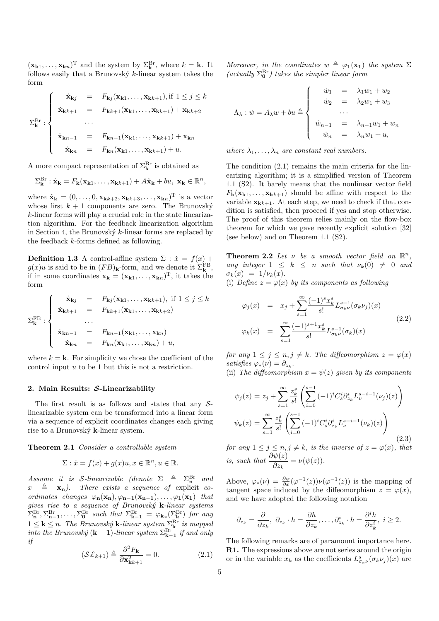$(\mathbf{x}_{k1}, \dots, \mathbf{x}_{kn})^{\mathrm{T}}$  and the system by  $\Sigma_{\mathbf{k}}^{\mathrm{Br}}$ , where  $k = \mathbf{k}$ . It follows easily that a Brunovský  $k$ -linear system takes the form

$$
\Sigma_{\mathbf{k}}^{\text{Br}}:\begin{cases}\n\dot{\mathbf{x}}_{\mathbf{k}j} = F_{\mathbf{k}j}(\mathbf{x}_{\mathbf{k}1},\ldots,\mathbf{x}_{\mathbf{k}k+1}), \text{if } 1 \leq j \leq k \\
\dot{\mathbf{x}}_{\mathbf{k}k+1} = F_{\mathbf{k}k+1}(\mathbf{x}_{\mathbf{k}1},\ldots,\mathbf{x}_{\mathbf{k}k+1}) + \mathbf{x}_{\mathbf{k}k+2} \\
\ldots \\
\dot{\mathbf{x}}_{\mathbf{k}n-1} = F_{\mathbf{k}n-1}(\mathbf{x}_{\mathbf{k}1},\ldots,\mathbf{x}_{\mathbf{k}k+1}) + \mathbf{x}_{\mathbf{k}n} \\
\dot{\mathbf{x}}_{\mathbf{k}n} = F_{\mathbf{k}n}(\mathbf{x}_{\mathbf{k}1},\ldots,\mathbf{x}_{\mathbf{k}k+1}) + u.\n\end{cases}
$$

A more compact representation of  $\Sigma_{\mathbf{k}}^{\text{Br}}$  is obtained as

$$
\Sigma_{\mathbf{k}}^{\mathrm{Br}}:\dot{\mathbf{x}}_{\mathbf{k}}=F_{\mathbf{k}}(\mathbf{x}_{\mathbf{k}1},\ldots,\mathbf{x}_{\mathbf{k}k+1})+A\hat{\mathbf{x}}_{\mathbf{k}}+bu,\ \mathbf{x}_{\mathbf{k}}\in\mathbb{R}^{n},
$$

where  $\hat{\mathbf{x}}_{\mathbf{k}} = (0, \ldots, 0, \mathbf{x}_{\mathbf{k}k+2}, \mathbf{x}_{\mathbf{k}k+3}, \ldots, \mathbf{x}_{\mathbf{k}n})^{\mathrm{T}}$  is a vector whose first  $k + 1$  components are zero. The Brunovský k-linear forms will play a crucial role in the state linearization algorithm. For the feedback linearization algorithm in Section 4, the Brunovský  $k$ -linear forms are replaced by the feedback k-forms defined as following.

**Definition 1.3** A control-affine system  $\Sigma$  :  $\dot{x} = f(x) +$  $g(x)u$  is said to be in  $(FB)_{\mathbf{k}}$ -form, and we denote it  $\Sigma_{\mathbf{k}}^{\text{FB}}$ , if in some coordinates  $\mathbf{x}_{k} = (\mathbf{x}_{k1}, \dots, \mathbf{x}_{kn})^{\mathrm{T}}$ , it takes the form

$$
\Sigma_{\mathbf{k}}^{\text{FB}}:\begin{cases}\n\dot{\mathbf{x}}_{\mathbf{k}j} = F_{\mathbf{k}j}(\mathbf{x}_{\mathbf{k}1},\ldots,\mathbf{x}_{\mathbf{k}k+1}), \text{ if } 1 \leq j \leq k \\
\dot{\mathbf{x}}_{\mathbf{k}k+1} = F_{\mathbf{k}k+1}(\mathbf{x}_{\mathbf{k}1},\ldots,\mathbf{x}_{\mathbf{k}k+2}) \\
\ldots \\
\dot{\mathbf{x}}_{\mathbf{k}n-1} = F_{\mathbf{k}n-1}(\mathbf{x}_{\mathbf{k}1},\ldots,\mathbf{x}_{\mathbf{k}n}) \\
\dot{\mathbf{x}}_{\mathbf{k}n} = F_{\mathbf{k}n}(\mathbf{x}_{\mathbf{k}1},\ldots,\mathbf{x}_{\mathbf{k}n}) + u,\n\end{cases}
$$

where  $k = \mathbf{k}$ . For simplicity we chose the coefficient of the control input u to be 1 but this is not a restriction.

#### 2. Main Results: S-Linearizability

The first result is as follows and states that any  $S$ linearizable system can be transformed into a linear form via a sequence of explicit coordinates changes each giving rise to a Brunovský k-linear system.

#### Theorem 2.1 Consider a controllable system

$$
\Sigma: \dot{x} = f(x) + g(x)u, x \in \mathbb{R}^n, u \in \mathbb{R}.
$$

Assume it is S-linearizable (denote  $\Sigma \triangleq \Sigma_n^{\text{Br}}$  and  $x \triangleq x_n$ ). There exists a sequence of explicit coordinates changes  $\varphi_{n}(x_{n}), \varphi_{n-1}(x_{n-1}), \ldots, \varphi_{1}(x_{1})$  that gives rise to a sequence of Brunovský  $k$ -linear systems  $\Sigma_{\mathbf{n}}^{\text{Br}}, \Sigma_{\mathbf{n-1}}^{\text{Br}}, \ldots, \Sigma_{\mathbf{0}}^{\text{Br}}$  such that  $\Sigma_{\mathbf{k-1}}^{\text{Br}} = \varphi_{\mathbf{k}*}(\Sigma_{\mathbf{k}}^{\text{Br}})$  for any  $1 \leq \mathbf{k} \leq n$ . The Brunovský  $\mathbf{k}$ -linear system  $\sum_{\mathbf{k}}^{\text{Br}}$  is mapped into the Brunovský (**k** – **1**)-linear system  $\Sigma_{\mathbf{k-1}}^{\text{Br}}$  if and only if

$$
\left(\mathcal{S}\pounds_{k+1}\right) \triangleq \frac{\partial^2 F_{\mathbf{k}}}{\partial \mathbf{x}_{\mathbf{k}^{k+1}}^2} = 0. \tag{2.1}
$$

Moreover, in the coordinates  $w \triangleq \varphi_1(x_1)$  the system  $\Sigma$ (actually  $\Sigma^{\text{Br}}_{\mathbf{0}}$ ) takes the simpler linear form

$$
\Lambda_{\lambda}: \dot{w} = A_{\lambda}w + bu \triangleq \begin{cases} \dot{w}_1 & = \lambda_1w_1 + w_2 \\ \dot{w}_2 & = \lambda_2w_1 + w_3 \\ \dots \\ \dot{w}_{n-1} & = \lambda_{n-1}w_1 + w_n \\ \dot{w}_n & = \lambda_nw_1 + u, \end{cases}
$$

where  $\lambda_1, \ldots, \lambda_n$  are constant real numbers.

The condition (2.1) remains the main criteria for the linearizing algorithm; it is a simplified version of Theorem 1.1 (S2). It barely means that the nonlinear vector field  $F_{\mathbf{k}}(\mathbf{x}_{\mathbf{k}1},\ldots,\mathbf{x}_{\mathbf{k}k+1})$  should be affine with respect to the variable  $\mathbf{x}_{k+1}$ . At each step, we need to check if that condition is satisfied, then proceed if yes and stop otherwise. The proof of this theorem relies mainly on the flow-box theorem for which we gave recently explicit solution [32] (see below) and on Theorem 1.1 (S2).

**Theorem 2.2** Let  $\nu$  be a smooth vector field on  $\mathbb{R}^n$ , any integer  $1 \leq k \leq n$  such that  $\nu_k(0) \neq 0$  and  $\sigma_k(x) = 1/\nu_k(x)$ .

(i) Define  $z = \varphi(x)$  by its components as following

$$
\varphi_j(x) = x_j + \sum_{s=1}^{\infty} \frac{(-1)^s x_k^s}{s!} L_{\sigma_k \nu}^{s-1}(\sigma_k \nu_j)(x)
$$
  

$$
\varphi_k(x) = \sum_{s=1}^{\infty} \frac{(-1)^{s+1} x_k^s}{s!} L_{\sigma_k \nu}^{s-1}(\sigma_k)(x)
$$
 (2.2)

for any  $1 \leq j \leq n, j \neq k$ . The diffeomorphism  $z = \varphi(x)$ satisfies  $\varphi_*(\nu) = \partial_{z_k}$ .

(ii) The diffeomorphism  $x = \psi(z)$  given by its components

$$
\psi_j(z) = z_j + \sum_{s=1}^{\infty} \frac{z_k^s}{s!} \left( \sum_{i=0}^{s-1} (-1)^i C_s^i \partial_{z_k}^i L_\nu^{s-i-1} (\nu_j)(z) \right)
$$

$$
\psi_k(z) = \sum_{s=1}^{\infty} \frac{z_k^s}{s!} \left( \sum_{i=0}^{s-1} (-1)^i C_s^i \partial_{z_k}^i L_\nu^{s-i-1} (\nu_k)(z) \right)
$$
(2.3)

for any  $1 \leq j \leq n, j \neq k$ , is the inverse of  $z = \varphi(x)$ , that is, such that  $\frac{\partial \psi(z)}{\partial z_k} = \nu(\psi(z)).$ 

Above,  $\varphi_*(\nu) = \frac{\partial \varphi}{\partial x}(\varphi^{-1}(z))\nu(\varphi^{-1}(z))$  is the mapping of tangent space induced by the diffeomorphism  $z = \varphi(x)$ , and we have adopted the following notation

$$
\partial_{z_k} = \frac{\partial}{\partial z_k}, \ \partial_{z_k} \cdot h = \frac{\partial h}{\partial z_k}, \dots, \partial_{z_k}^i \cdot h = \frac{\partial^i h}{\partial z_k^i}, \ i \geq 2.
$$

The following remarks are of paramount importance here. R1. The expressions above are not series around the origin or in the variable  $x_k$  as the coefficients  $L^s_{\sigma_k\nu}(\sigma_k\nu_j)(x)$  are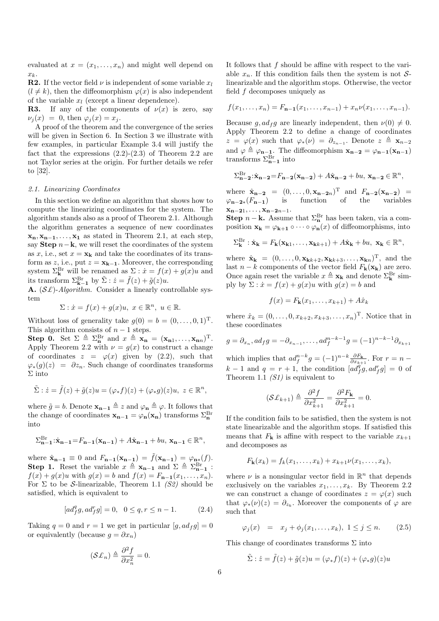evaluated at  $x = (x_1, \ldots, x_n)$  and might well depend on  $x_k$ .

**R2.** If the vector field  $\nu$  is independent of some variable  $x_l$  $(l \neq k)$ , then the diffeomorphism  $\varphi(x)$  is also independent of the variable  $x_l$  (except a linear dependence).

**R3.** If any of the components of  $\nu(x)$  is zero, say  $\nu_i(x) = 0$ , then  $\varphi_i(x) = x_i$ .

A proof of the theorem and the convergence of the series will be given in Section 6. In Section 3 we illustrate with few examples, in particular Example 3.4 will justify the fact that the expressions  $(2.2)-(2.3)$  of Theorem 2.2 are not Taylor series at the origin. For further details we refer to [32].

#### 2.1. Linearizing Coordinates

In this section we define an algorithm that shows how to compute the linearizing coordinates for the system. The algorithm stands also as a proof of Theorem 2.1. Although the algorithm generates a sequence of new coordinates  $x_n, x_{n-1}, \ldots, x_1$  as stated in Theorem 2.1, at each step, say Step  $n-k$ , we will reset the coordinates of the system as x, i.e., set  $x = x_k$  and take the coordinates of its transform as z, i.e., put  $z = \mathbf{x_{k-1}}$ . Moreover, the corresponding system  $\Sigma_{\mathbf{k}}^{\text{Br}}$  will be renamed as  $\Sigma : \dot{x} = f(x) + g(x)u$  and its transform  $\Sigma_{\mathbf{k}-\mathbf{1}}^{\text{Br}}$  by  $\tilde{\Sigma}$  :  $\dot{z} = \tilde{f}(z) + \tilde{g}(z)u$ .

A.  $(S<sub>L</sub>)$ -Algorithm. Consider a linearly controllable system

$$
\Sigma: \dot{x} = f(x) + g(x)u, \ x \in \mathbb{R}^n, \ u \in \mathbb{R}.
$$

Without loss of generality take  $g(0) = b = (0, \ldots, 0, 1)^T$ . This algorithm consists of  $n - 1$  steps.

**Step 0.** Set  $\Sigma \triangleq \Sigma_n^{\text{Br}}$  and  $x \triangleq \mathbf{x_n} = (\mathbf{x_{n1}, \ldots, x_{nn}})^{\text{T}}$ . Apply Theorem 2.2 with  $\nu = g(x)$  to construct a change of coordinates  $z = \varphi(x)$  given by  $(2.2)$ , such that  $\varphi_*(g)(z) = \partial z_n$ . Such change of coordinates transforms Σ into

$$
\tilde{\Sigma}:\dot{z}=\tilde{f}(z)+\tilde{g}(z)u=(\varphi_*f)(z)+(\varphi_*g)(z)u,\ z\in\mathbb{R}^n,
$$

where  $\tilde{g} = b$ . Denote  $\mathbf{x}_{n-1} \triangleq z$  and  $\varphi_n \triangleq \varphi$ . It follows that the change of coordinates  $\mathbf{x}_{n-1} = \varphi_n(\mathbf{x}_n)$  transforms  $\Sigma_n^{\text{Br}}$ into

$$
\Sigma_{\mathbf{n-1}}^{\mathrm{Br}}:\dot{\mathbf{x}}_{\mathbf{n-1}} = F_{\mathbf{n-1}}(\mathbf{x}_{\mathbf{n-1}}) + A\hat{\mathbf{x}}_{\mathbf{n-1}} + bu, \mathbf{x}_{\mathbf{n-1}} \in \mathbb{R}^n,
$$

where  $\hat{\mathbf{x}}_{n-1} \equiv 0$  and  $F_{n-1}(\mathbf{x}_{n-1}) = \tilde{f}(\mathbf{x}_{n-1}) = \varphi_{n*}(f)$ . Step 1. Reset the variable  $x \triangleq \mathbf{x_{n-1}}$  and  $\Sigma \triangleq \Sigma_{n-1}^{\text{Br}}$ :  $f(x) + q(x)u$  with  $q(x) = b$  and  $f(x) = F_{n-1}(x_1, \ldots, x_n)$ . For  $\Sigma$  to be S-linearizable, Theorem 1.1 (S2) should be satisfied, which is equivalent to

$$
[ad_f^q g, ad_f^r g] = 0, \ \ 0 \le q, r \le n - 1. \tag{2.4}
$$

Taking  $q = 0$  and  $r = 1$  we get in particular  $[g, ad_f g] = 0$ or equivalently (because  $g = \partial x_n$ )

$$
\left(\mathcal{S}\pounds_n\right) \triangleq \frac{\partial^2 f}{\partial x_n^2} = 0.
$$

It follows that  $f$  should be affine with respect to the variable  $x_n$ . If this condition fails then the system is not Slinearizable and the algorithm stops. Otherwise, the vector field  $f$  decomposes uniquely as

$$
f(x_1,\ldots,x_n)=F_{n-1}(x_1,\ldots,x_{n-1})+x_n\nu(x_1,\ldots,x_{n-1}).
$$

Because  $g, ad_f g$  are linearly independent, then  $\nu(0) \neq 0$ . Apply Theorem 2.2 to define a change of coordinates  $z = \varphi(x)$  such that  $\varphi_*(\nu) = \partial_{z_{n-1}}$ . Denote  $z \triangleq \mathbf{x}_{n-2}$ and  $\varphi \triangleq \varphi_{n-1}$ . The diffeomorphism  $x_{n-2} = \varphi_{n-1}(x_{n-1})$ transforms  $\Sigma_{n-1}^{\text{Br}}$  into

$$
\Sigma_{\mathbf{n-2}}^{\mathrm{Br}}\colon\!\dot{\mathbf{x}}_{\mathbf{n-2}}\!=\!F_{\mathbf{n-2}}(\mathbf{x}_{\mathbf{n-2}})+A\hat{\mathbf{x}}_{\mathbf{n-2}}+bu,\,\mathbf{x}_{\mathbf{n-2}}\in\mathbb{R}^n,
$$

where  $\hat{\mathbf{x}}_{n-2} = (0, \ldots, 0, \mathbf{x}_{n-2n})^T$  and  $F_{n-2}(\mathbf{x}_{n-2}) =$  $\varphi_{\mathbf{n-2}\ast}(F_{\mathbf{n-1}})$  is function of the variables  $x_{n-21}, \ldots, x_{n-2n-1}.$ 

**Step**  $n - \mathbf{k}$ . Assume that  $\Sigma_n^{\text{Br}}$  has been taken, via a composition  $\mathbf{x_k} = \varphi_{k+1} \circ \cdots \circ \varphi_n(x)$  of diffeomorphisms, into

$$
\Sigma_{\mathbf{k}}^{\mathrm{Br}}: \dot{\mathbf{x}}_{\mathbf{k}} = F_{\mathbf{k}}(\mathbf{x}_{\mathbf{k}1},\ldots,\mathbf{x}_{\mathbf{k}k+1}) + A\hat{\mathbf{x}}_{\mathbf{k}} + bu, \mathbf{x}_{\mathbf{k}} \in \mathbb{R}^n,
$$

where  $\hat{\mathbf{x}}_{\mathbf{k}} = (0, \ldots, 0, \mathbf{x}_{\mathbf{k}k+2}, \mathbf{x}_{\mathbf{k}k+3}, \ldots, \mathbf{x}_{\mathbf{k}n})^{\mathrm{T}}$ , and the last  $n - k$  components of the vector field  $F_{\mathbf{k}}(\mathbf{x}_{k})$  are zero. Once again reset the variable  $x \triangleq \mathbf{x}_k$  and denote  $\Sigma_k^{\text{Br}}$  simply by  $\Sigma : \dot{x} = f(x) + g(x)u$  with  $g(x) = b$  and

$$
f(x) = F_{\mathbf{k}}(x_1, \dots, x_{k+1}) + A\hat{x}_k
$$

where  $\hat{x}_k = (0, ..., 0, x_{k+2}, x_{k+3}, ..., x_n)^\text{T}$ . Notice that in these coordinates

$$
g = \partial_{x_n}, ad_f g = -\partial_{x_{n-1}}, \dots, ad_f^{n-k-1} g = (-1)^{n-k-1} \partial_{x_{k+1}}
$$

which implies that  $ad_f^{n-k}g = (-1)^{n-k} \frac{\partial F_k}{\partial x_{k+1}}$ . For  $r = n$  $k-1$  and  $q = r+1$ , the condition  $[a d_f^q g, a d_f^r g] = 0$  of Theorem 1.1  $(S1)$  is equivalent to

$$
\left(\mathcal{S}\pounds_{k+1}\right) \triangleq \frac{\partial^2 f}{\partial x_{k+1}^2} = \frac{\partial^2 F_{\mathbf{k}}}{\partial x_{k+1}^2} = 0.
$$

If the condition fails to be satisfied, then the system is not state linearizable and the algorithm stops. If satisfied this means that  $F_k$  is affine with respect to the variable  $x_{k+1}$ and decomposes as

$$
F_{\mathbf{k}}(x_k) = f_k(x_1,\ldots,x_k) + x_{k+1}\nu(x_1,\ldots,x_k),
$$

where  $\nu$  is a nonsingular vector field in  $\mathbb{R}^n$  that depends exclusively on the variables  $x_1, \ldots, x_k$ . By Theorem 2.2 we can construct a change of coordinates  $z = \varphi(x)$  such that  $\varphi_*(\nu)(z) = \partial_{z_k}$ . Moreover the components of  $\varphi$  are such that

$$
\varphi_j(x) = x_j + \phi_j(x_1, ..., x_k), \ 1 \le j \le n.
$$
 (2.5)

This change of coordinates transforms  $\Sigma$  into

$$
\tilde{\Sigma} : \dot{z} = \tilde{f}(z) + \tilde{g}(z)u = (\varphi_* f)(z) + (\varphi_* g)(z)u
$$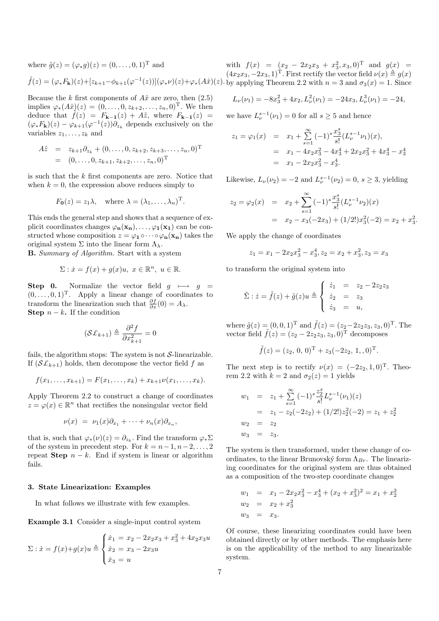where  $\tilde{g}(z) = (\varphi_* g)(z) = (0, \ldots, 0, 1)^{\mathrm{T}}$  and

$$
\tilde{f}(z) = (\varphi_* F_{\mathbf{k}})(z) + [z_{k+1} - \phi_{k+1}(\varphi^{-1}(z))](\varphi_* \nu)(z) + \varphi_* (A\hat{x})(z). \text{ by } \text{app}
$$

Because the k first components of  $A\hat{x}$  are zero, then (2.5) implies  $\varphi_*(A\hat{x})(z) = (0, \ldots, 0, z_{k+2}, \ldots, z_n, 0)^{\mathrm{T}}$ . We then deduce that  $\tilde{f}(z) = F_{k-1}(z) + A\tilde{z}$ , where  $F_{k-1}(z) =$  $(\varphi_* F_{\mathbf{k}})(z) - \varphi_{k+1}(\varphi^{-1}(z)) \partial_{z_k}$  depends exclusively on the variables  $z_1, \ldots, z_k$  and

$$
A\hat{z} = z_{k+1}\partial_{z_k} + (0, \dots, 0, z_{k+2}, z_{k+3}, \dots, z_n, 0)^{\mathrm{T}}
$$
  
=  $(0, \dots, 0, z_{k+1}, z_{k+2}, \dots, z_n, 0)^{\mathrm{T}}$ 

is such that the k first components are zero. Notice that when  $k = 0$ , the expression above reduces simply to

$$
F_{\mathbf{0}}(z) = z_1 \lambda
$$
, where  $\lambda = (\lambda_1, ..., \lambda_n)^{\mathrm{T}}$ .

This ends the general step and shows that a sequence of explicit coordinates changes  $\varphi_n(\mathbf{x}_n), \ldots, \varphi_1(\mathbf{x}_1)$  can be constructed whose composition  $z = \varphi_1 \circ \cdots \circ \varphi_n(\mathbf{x}_n)$  takes the original system  $\Sigma$  into the linear form  $\Lambda_{\lambda}$ .

B. Summary of Algorithm. Start with a system

$$
\Sigma: \dot{x} = f(x) + g(x)u, \ x \in \mathbb{R}^n, \ u \in \mathbb{R}.
$$

Step 0. Normalize the vector field  $q \mapsto q =$  $(0, \ldots, 0, 1)^T$ . Apply a linear change of coordinates to transform the linearization such that  $\frac{\partial f}{\partial x}(0) = A_{\lambda}$ . Step  $n - k$ . If the condition

$$
(\mathcal{S}\pounds_{k+1})\triangleq\frac{\partial^2 f}{\partial x_{k+1}^2}=0
$$

fails, the algorithm stops: The system is not  $S$ -linearizable. If  $(S\mathcal{L}_{k+1})$  holds, then decompose the vector field f as

$$
f(x_1,\ldots,x_{k+1})=F(x_1,\ldots,x_k)+x_{k+1}\nu(x_1,\ldots,x_k).
$$

Apply Theorem 2.2 to construct a change of coordinates  $z = \varphi(x) \in \mathbb{R}^n$  that rectifies the nonsingular vector field

$$
\nu(x) = \nu_1(x)\partial_{x_1} + \cdots + \nu_n(x)\partial_{x_n},
$$

that is, such that  $\varphi_*(\nu)(z) = \partial_{z_k}$ . Find the transform  $\varphi_*\Sigma$ of the system in precedent step. For  $k = n-1, n-2, \ldots, 2$ repeat Step  $n - k$ . End if system is linear or algorithm fails.

#### 3. State Linearization: Examples

In what follows we illustrate with few examples.

Example 3.1 Consider a single-input control system

$$
\Sigma: \dot{x} = f(x) + g(x)u \triangleq \begin{cases} \dot{x}_1 = x_2 - 2x_2x_3 + x_3^2 + 4x_2x_3u \\ \dot{x}_2 = x_3 - 2x_3u \\ \dot{x}_3 = u \end{cases}
$$

with  $f(x) = (x_2 - 2x_2x_3 + x_3^2, x_3, 0)^T$  and  $g(x) =$  $(4x_2x_3, -2x_3, 1)^T$ . First rectify the vector field  $\nu(x) \triangleq g(x)$ plying Theorem 2.2 with  $n = 3$  and  $\sigma_3(x) = 1$ . Since

$$
L_{\nu}(\nu_1) = -8x_3^2 + 4x_2, L_{\nu}^2(\nu_1) = -24x_3, L_{\nu}^3(\nu_1) = -24,
$$

we have  $L_{\nu}^{s-1}(\nu_1)=0$  for all  $s\geq 5$  and hence

$$
z_1 = \varphi_1(x) = x_1 + \sum_{s=1}^{\infty} (-1)^s \frac{x_3^s}{s!} (L^{s-1}_{\nu} \nu_1)(x),
$$
  
=  $x_1 - 4x_2 x_3^2 - 4x_3^4 + 2x_2 x_3^2 + 4x_3^4 - x_3^4$   
=  $x_1 - 2x_2 x_3^2 - x_3^4.$ 

Likewise,  $L_{\nu}(\nu_2) = -2$  and  $L_{\nu}^{s-1}(\nu_2) = 0$ ,  $s \ge 3$ , yielding

$$
z_2 = \varphi_2(x) = x_2 + \sum_{s=1}^{\infty} (-1)^s \frac{x_3^s}{s!} (L^{s-1}_{\nu} \nu_2)(x)
$$
  
=  $x_2 - x_3(-2x_3) + (1/2!)x_3^2(-2) = x_2 + x_3^2.$ 

We apply the change of coordinates

$$
z_1 = x_1 - 2x_2x_3^2 - x_3^4, z_2 = x_2 + x_3^2, z_3 = x_3
$$

to transform the original system into

$$
\tilde{\Sigma} : \dot{z} = \tilde{f}(z) + \tilde{g}(z)u \triangleq \begin{cases} \dot{z}_1 &= z_2 - 2z_2z_3\\ \dot{z}_2 &= z_3\\ \dot{z}_3 &= u, \end{cases}
$$

where  $\tilde{g}(z) = (0, 0, 1)^{\text{T}}$  and  $\tilde{f}(z) = (z_2 - 2z_2z_3, z_3, 0)^{\text{T}}$ . The vector field  $\tilde{f}(z) = (z_2 - 2z_2z_3, z_3, 0)^{\text{T}}$  decomposes

$$
\tilde{f}(z) = (z_2, 0, 0)^{\mathrm{T}} + z_3(-2z_2, 1, 0)^{\mathrm{T}}.
$$

The next step is to rectify  $\nu(x) = (-2z_2, 1, 0)^T$ . Theorem 2.2 with  $k = 2$  and  $\sigma_2(z) = 1$  yields

$$
w_1 = z_1 + \sum_{s=1}^{\infty} (-1)^s \frac{z_2^s}{s!} L_{\nu}^{s-1}(\nu_1)(z)
$$
  
=  $z_1 - z_2(-2z_2) + (1/2!)z_2^2(-2) = z_1 + z_2^2$   

$$
w_2 = z_2
$$
  

$$
w_3 = z_3.
$$

The system is then transformed, under these change of coordinates, to the linear Brunovský form  $\Lambda_{Br}$ . The linearizing coordinates for the original system are thus obtained as a composition of the two-step coordinate changes

$$
w_1 = x_1 - 2x_2x_3^2 - x_3^4 + (x_2 + x_3^2)^2 = x_1 + x_2^2
$$
  
\n
$$
w_2 = x_2 + x_3^2
$$
  
\n
$$
w_3 = x_3.
$$

Of course, these linearizing coordinates could have been obtained directly or by other methods. The emphasis here is on the applicability of the method to any linearizable system.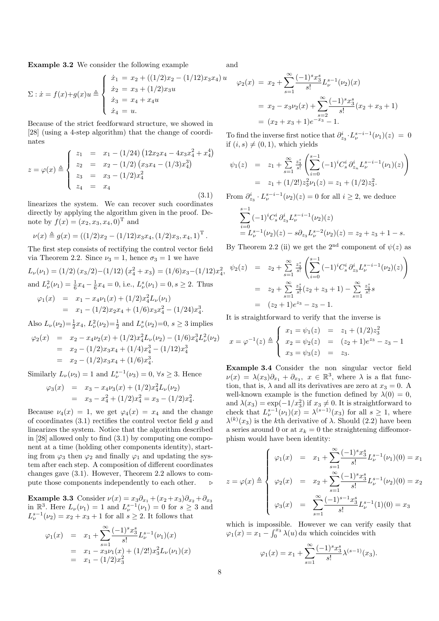Example 3.2 We consider the following example

and

$$
\Sigma: \dot{x} = f(x) + g(x)u \triangleq \begin{cases} \dot{x}_1 = x_2 + ((1/2)x_2 - (1/12)x_3x_4)u \\ \dot{x}_2 = x_3 + (1/2)x_3u \\ \dot{x}_3 = x_4 + x_4u \\ \dot{x}_4 = u. \end{cases}
$$

Because of the strict feedforward structure, we showed in [28] (using a 4-step algorithm) that the change of coordinates

$$
z = \varphi(x) \triangleq \begin{cases} z_1 &= x_1 - (1/24) \left( 12x_2 x_4 - 4x_3 x_4^2 + x_4^4 \right) \\ z_2 &= x_2 - (1/2) \left( x_3 x_4 - (1/3) x_4^3 \right) \\ z_3 &= x_3 - (1/2) x_4^2 \\ z_4 &= x_4 \end{cases} \tag{3.1}
$$

linearizes the system. We can recover such coordinates directly by applying the algorithm given in the proof. Denote by  $f(x) = (x_2, x_3, x_4, 0)^T$  and

$$
\nu(x) \triangleq g(x) = ((1/2)x_2 - (1/12)x_3x_4, (1/2)x_3, x_4, 1)^{\mathrm{T}}.
$$

The first step consists of rectifying the control vector field via Theorem 2.2. Since  $\nu_3 = 1$ , hence  $\sigma_3 = 1$  we have

$$
L_{\nu}(\nu_1) = (1/2) (x_3/2) - (1/12) (x_4^2 + x_3) = (1/6)x_3 - (1/12)x_4^2,
$$
  
and  $L_{\nu}^2(\nu_1) = \frac{1}{6}x_4 - \frac{1}{6}x_4 = 0$ , i.e.,  $L_{\nu}^s(\nu_1) = 0, s \ge 2$ . Thus  

$$
\varphi_1(x) = x_1 - x_4 \nu_1(x) + (1/2)x_4^2 L_{\nu}(\nu_1)
$$

$$
= x_1 - (1/2)x_2x_4 + (1/6)x_3x_4^2 - (1/24)x_4^3.
$$

Also  $L_{\nu}(\nu_2) = \frac{1}{2}x_4$ ,  $L_{\nu}^2(\nu_2) = \frac{1}{2}$  and  $L_{\nu}^s(\nu_2) = 0$ ,  $s \ge 3$  implies

$$
\varphi_2(x) = x_2 - x_4 \nu_2(x) + (1/2)x_4^2 L_\nu(\nu_2) - (1/6)x_4^3 L_\nu^2(\nu_2)
$$
  
=  $x_2 - (1/2)x_3 x_4 + (1/4)x_4^3 - (1/12)x_4^3$   
=  $x_2 - (1/2)x_3 x_4 + (1/6)x_4^3$ .

Similarly  $L_{\nu}(\nu_3) = 1$  and  $L_{\nu}^{s-1}(\nu_3) = 0, \forall s \geq 3$ . Hence

$$
\varphi_3(x) = x_3 - x_4 \nu_3(x) + (1/2)x_4^2 L_\nu(\nu_2)
$$
  
=  $x_3 - x_4^2 + (1/2)x_4^2 = x_3 - (1/2)x_4^2$ 

Because  $\nu_4(x) = 1$ , we get  $\varphi_4(x) = x_4$  and the change of coordinates  $(3.1)$  rectifies the control vector field g and linearizes the system. Notice that the algorithm described in [28] allowed only to find (3.1) by computing one component at a time (holding other components identity), starting from  $\varphi_3$  then  $\varphi_2$  and finally  $\varphi_1$  and updating the system after each step. A composition of different coordinates changes gave (3.1). However, Theorem 2.2 allows to compute those components independently to each other.  $\triangleright$ 

Example 3.3 Consider  $\nu(x) = x_3 \partial_{x_1} + (x_2 + x_3) \partial_{x_2} + \partial_{x_3}$ in  $\mathbb{R}^3$ . Here  $L_{\nu}(\nu_1) = 1$  and  $L_{\nu}^{s-1}(\nu_1) = 0$  for  $s \geq 3$  and  $L_{\nu}^{s-1}(\nu_2) = x_2 + x_3 + 1$  for all  $s \ge 2$ . It follows that

$$
\varphi_1(x) = x_1 + \sum_{s=1}^{\infty} \frac{(-1)^s x_3^s}{s!} L_{\nu}^{s-1}(\nu_1)(x)
$$
  
=  $x_1 - x_3 \nu_1(x) + (1/2!) x_3^2 L_{\nu}(\nu_1)(x)$   
=  $x_1 - (1/2) x_3^2$ 

$$
\varphi_2(x) = x_2 + \sum_{s=1}^{\infty} \frac{(-1)^s x_3^s}{s!} L_{\nu}^{s-1}(\nu_2)(x)
$$
  
=  $x_2 - x_3 \nu_2(x) + \sum_{s=2}^{\infty} \frac{(-1)^s x_3^s}{s!} (x_2 + x_3 + 1)$   
=  $(x_2 + x_3 + 1)e^{-x_3} - 1.$ 

To find the inverse first notice that  $\partial_{z_3}^i \cdot L^{s-i-1}_{\nu}(\nu_1)(z) = 0$ if  $(i, s) \neq (0, 1)$ , which yields

$$
\psi_1(z) = z_1 + \sum_{s=1}^{\infty} \frac{z_s^s}{s!} \left( \sum_{i=0}^{s-1} (-1)^i C_s^i \partial_{z_n}^i L_\nu^{s-i-1} (\nu_1)(z) \right)
$$
  
=  $z_1 + (1/2!) z_3^2 \nu_1(z) = z_1 + (1/2) z_3^2.$ 

From  $\partial_{z_3}^i \cdot L_\nu^{s-i-1}(\nu_2)(z) = 0$  for all  $i \geq 2$ , we deduce

$$
\sum_{i=0}^{s-1} (-1)^i C_s^i \partial_{z_3}^i L_{\nu}^{s-i-1}(\nu_2)(z)
$$
  
=  $L_{\nu}^{s-1}(\nu_2)(z) - s \partial_{z_3} L_{\nu}^{s-2}(\nu_2)(z) = z_2 + z_3 + 1 - s.$ 

By Theorem 2.2 (ii) we get the 2<sup>nd</sup> component of  $\psi(z)$  as

$$
\psi_2(z) = z_2 + \sum_{s=1}^{\infty} \frac{z_s^s}{s!} \left( \sum_{i=0}^{s-1} (-1)^i C_s^i \partial_{z_3}^i L_{\nu}^{s-i-1} (\nu_2)(z) \right)
$$
  
=  $z_2 + \sum_{s=1}^{\infty} \frac{z_s^s}{s!} (z_2 + z_3 + 1) - \sum_{s=1}^{\infty} \frac{z_s^s}{s!} s$   
=  $(z_2 + 1)e^{z_3} - z_3 - 1.$ 

It is straightforward to verify that the inverse is

$$
x = \varphi^{-1}(z) \triangleq \begin{cases} x_1 = \psi_1(z) &= z_1 + (1/2)z_3^2 \\ x_2 = \psi_2(z) &= (z_2 + 1)e^{z_3} - z_3 - 1 \\ x_3 = \psi_3(z) &= z_3. \end{cases}
$$

Example 3.4 Consider the non singular vector field  $\nu(x) = \lambda(x_3)\partial_{x_1} + \partial_{x_3}, \; x \in \mathbb{R}^3$ , where  $\lambda$  is a flat function, that is,  $\lambda$  and all its derivatives are zero at  $x_3 = 0$ . A well-known example is the function defined by  $\lambda(0) = 0$ , and  $\lambda(x_3) = \exp(-1/x_3^2)$  if  $x_3 \neq 0$ . It is straightforward to check that  $L_{\nu}^{s-1}(\nu_1)(x) = \lambda^{(s-1)}(x_3)$  for all  $s \geq 1$ , where  $\lambda^{(k)}(x_3)$  is the k<sup>th</sup> derivative of  $\lambda$ . Should (2.2) have been a series around 0 or at  $x_k = 0$  the straightening diffeomorphism would have been identity:

$$
z = \varphi(x) \triangleq \begin{cases} \varphi_1(x) &= x_1 + \sum_{s=1}^{\infty} \frac{(-1)^s x_3^s}{s!} L_{\nu}^{s-1}(\nu_1)(0) = x_1 \\ \varphi_2(x) &= x_2 + \sum_{s=1}^{\infty} \frac{(-1)^s x_3^s}{s!} L_{\nu}^{s-1}(\nu_2)(0) = x_2 \\ \varphi_3(x) &= \sum_{s=1}^{\infty} \frac{(-1)^{s-1} x_3^s}{s!} L_{\nu}^{s-1}(1)(0) = x_3 \end{cases}
$$

which is impossible. However we can verify easily that  $\varphi_1(x) = x_1 - \int_0^{x_3} \lambda(u) \, \mathrm{d}u$  which coincides with

$$
\varphi_1(x) = x_1 + \sum_{s=1}^{\infty} \frac{(-1)^s x_3^s}{s!} \lambda^{(s-1)}(x_3).
$$

.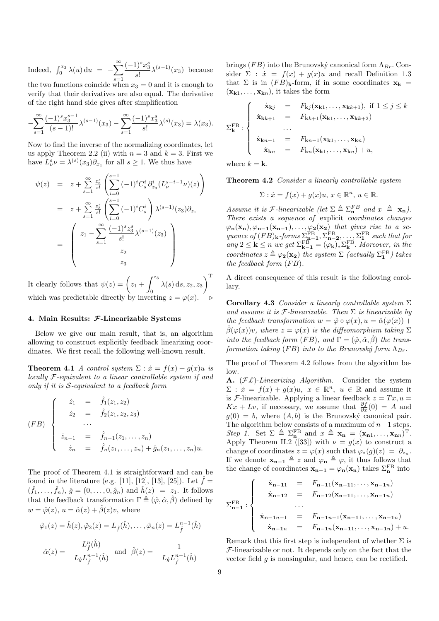Indeed,  $\int_0^{x_3} \lambda(u) \, \mathrm{d}u = \infty$  $s=1$  $(-1)^s x_3^s$  $\frac{1}{s!} \lambda^{(s-1)}(x_3)$  because the two functions coincide when  $x_3 = 0$  and it is enough to

verify that their derivatives are also equal. The derivative of the right hand side gives after simplification

$$
-\sum_{s=1}^{\infty} \frac{(-1)^s x_3^{s-1}}{(s-1)!} \lambda^{(s-1)}(x_3) - \sum_{s=1}^{\infty} \frac{(-1)^s x_3^s}{s!} \lambda^{(s)}(x_3) = \lambda(x_3).
$$

Now to find the inverse of the normalizing coordinates, let us apply Theorem 2.2 (ii) with  $n = 3$  and  $k = 3$ . First we have  $L^s_\nu \nu = \lambda^{(s)}(x_3)\partial_{x_1}$  for all  $s \ge 1$ . We thus have

$$
\psi(z) = z + \sum_{s=1}^{\infty} \frac{z_3^s}{s!} \left( \sum_{i=0}^{s-1} (-1)^i C_s^i \partial_{z_3}^i (L_{\nu}^{s-i-1} \nu)(z) \right)
$$
  
\n
$$
= z + \sum_{s=1}^{\infty} \frac{z_3^s}{s!} \left( \sum_{i=0}^{s-1} (-1)^i C_s^i \right) \lambda^{(s-1)}(z_3) \partial_{z_1}
$$
  
\n
$$
= \left( z_1 - \sum_{s=1}^{\infty} \frac{(-1)^s z_3^s}{s!} \lambda^{(s-1)}(z_3) \right)
$$
  
\n
$$
z_2
$$
  
\n
$$
z_3
$$

It clearly follows that  $\psi(z) = \int z_1 +$  $\int z_3$  $\lambda(s)\,{\mathrm{d}} s, z_2, z_3\0$  $\sqrt{T}$ which was predictable directly by inverting  $z = \varphi(x)$ .  $\triangleright$ 

#### 4. Main Results: F-Linearizable Systems

Below we give our main result, that is, an algorithm allowing to construct explicitly feedback linearizing coordinates. We first recall the following well-known result.

**Theorem 4.1** A control system  $\Sigma$  :  $\dot{x} = f(x) + g(x)u$  is locally F-equivalent to a linear controllable system if and only if it is  $S$ -equivalent to a feedback form

$$
(FB) \begin{cases} \n\dot{z}_1 = \hat{f}_1(z_1, z_2) \\
\dot{z}_2 = \hat{f}_2(z_1, z_2, z_3) \\
\cdots \\
\dot{z}_{n-1} = \hat{f}_{n-1}(z_1, \ldots, z_n) \\
\dot{z}_n = \hat{f}_n(z_1, \ldots, z_n) + \hat{g}_n(z_1, \ldots, z_n)u.\n\end{cases}
$$

The proof of Theorem 4.1 is straightforward and can be found in the literature (e.g. [11], [12], [13], [25]). Let  $\hat{f} =$  $(\hat{f}_1, \ldots, \hat{f}_n), \hat{g} = (0, \ldots, 0, \hat{g}_n)$  and  $\hat{h}(z) = z_1$ . It follows that the feedback transformation  $\Gamma \triangleq (\hat{\varphi}, \hat{\alpha}, \hat{\beta})$  defined by  $w = \hat{\varphi}(z), u = \hat{\alpha}(z) + \hat{\beta}(z)v$ , where

$$
\hat{\varphi}_1(z) = \hat{h}(z), \hat{\varphi}_2(z) = L_{\hat{f}}(\hat{h}), \dots, \hat{\varphi}_n(z) = L_{\hat{f}}^{n-1}(\hat{h})
$$

$$
\hat{\alpha}(z) = -\frac{L_{\hat{f}}^n(\hat{h})}{L_{\hat{g}}L_{\hat{f}}^{n-1}(\hat{h})} \text{ and } \hat{\beta}(z) = -\frac{1}{L_{\hat{g}}L_{\hat{f}}^{n-1}(\hat{h})}
$$

brings (FB) into the Brunovský canonical form  $\Lambda_{Br}$ . Consider  $\Sigma$ :  $\dot{x} = f(x) + g(x)u$  and recall Definition 1.3 that  $\Sigma$  is in  $(FB)_{\mathbf{k}}$ -form, if in some coordinates  $\mathbf{x}_{\mathbf{k}} =$  $(\mathbf{x}_{\mathbf{k}1}, \ldots, \mathbf{x}_{\mathbf{k}n})$ , it takes the form

$$
\Sigma_{\mathbf{k}}^{\text{FB}}:\begin{cases}\n\dot{\mathbf{x}}_{\mathbf{k}j} = F_{\mathbf{k}j}(\mathbf{x}_{\mathbf{k}1},\ldots,\mathbf{x}_{\mathbf{k}k+1}), \text{ if } 1 \leq j \leq k \\
\dot{\mathbf{x}}_{\mathbf{k}k+1} = F_{\mathbf{k}k+1}(\mathbf{x}_{\mathbf{k}1},\ldots,\mathbf{x}_{\mathbf{k}k+2}) \\
\ldots \\
\dot{\mathbf{x}}_{\mathbf{k}n-1} = F_{\mathbf{k}n-1}(\mathbf{x}_{\mathbf{k}1},\ldots,\mathbf{x}_{\mathbf{k}n}) \\
\dot{\mathbf{x}}_{\mathbf{k}n} = F_{\mathbf{k}n}(\mathbf{x}_{\mathbf{k}1},\ldots,\mathbf{x}_{\mathbf{k}n}) + u,\n\end{cases}
$$

where  $k = \mathbf{k}$ .

Theorem 4.2 Consider a linearly controllable system

$$
\Sigma: \dot{x} = f(x) + g(x)u, \, x \in \mathbb{R}^n, \, u \in \mathbb{R}.
$$

Assume it is *F*-linearizable (let  $\Sigma \triangleq \Sigma_n^{FB}$  and  $x \triangleq \mathbf{x}_n$ ). There exists a sequence of explicit coordinates changes  $\varphi_{\mathbf{n}}(\mathbf{x}_{\mathbf{n}}), \varphi_{\mathbf{n-1}}(\mathbf{x}_{\mathbf{n-1}}), \ldots, \varphi_{\mathbf{2}}(\mathbf{x}_{\mathbf{2}})$  that gives rise to a sequence of  $(FB)_{\mathbf{k}}$ -forms  $\Sigma_{\mathbf{n}-\mathbf{1}}^{\text{FB}}, \Sigma_{\mathbf{n}-\mathbf{2}}^{\text{FB}}, \ldots, \Sigma_{\mathbf{1}}^{\text{FB}}$  such that for any  $2 \leq k \leq n$  we get  $\Sigma_{k-1}^{FB} = (\varphi_k)_* \Sigma_k^{FB}$ . Moreover, in the coordinates  $z \triangleq \varphi_2(\mathbf{x_2})$  the system  $\Sigma$  (actually  $\Sigma_1^{\text{FB}}$ ) takes the feedback form  $(FB)$ .

A direct consequence of this result is the following corollary.

Corollary 4.3 Consider a linearly controllable system  $\Sigma$ and assume it is  $\mathcal F$ -linearizable. Then  $\Sigma$  is linearizable by the feedback transformation  $w = \hat{\varphi} \circ \varphi(x), u = \hat{\alpha}(\varphi(x)) +$  $\hat{\beta}(\varphi(x))v$ , where  $z = \varphi(x)$  is the diffeomorphism taking  $\Sigma$ into the feedback form  $(FB)$ , and  $\Gamma = (\hat{\varphi}, \hat{\alpha}, \hat{\beta})$  the transformation taking (FB) into to the Brunovský form  $\Lambda_{Br}$ .

The proof of Theorem 4.2 follows from the algorithm below.

A.  $(\mathcal{F}\mathcal{L})$ -Linearizing Algorithm. Consider the system  $\Sigma: \dot{x} = f(x) + g(x)u, x \in \mathbb{R}^n, u \in \mathbb{R}$  and assume it is *F*-linearizable. Applying a linear feedback  $z = Tx, u =$  $Kx + Lv$ , if necessary, we assume that  $\frac{\partial f}{\partial x}(0) = A$  and  $g(0) = b$ , where  $(A, b)$  is the Brunovský canonical pair. The algorithm below consists of a maximum of  $n-1$  steps. Step 1. Set  $\Sigma \triangleq \Sigma_n^{\text{FB}}$  and  $x \triangleq \mathbf{x_n} = (\mathbf{x_{n1}, \ldots, x_{nn}})^{\text{T}}$ . Apply Theorem II.2 ([33]) with  $\nu = g(x)$  to construct a change of coordinates  $z = \varphi(x)$  such that  $\varphi_*(g)(z) = \partial_{z_n}$ . If we denote  $\mathbf{x}_{n-1} \triangleq z$  and  $\varphi_n \triangleq \varphi$ , it thus follows that the change of coordinates  $\mathbf{x}_{n-1} = \varphi_n(\mathbf{x}_n)$  takes  $\Sigma_n^{\text{FB}}$  into

$$
\Sigma_{n-1}^{FB}: \begin{cases}\n\dot{x}_{n-11} = F_{n-11}(x_{n-11},...,x_{n-1n}) \\
\dot{x}_{n-12} = F_{n-12}(x_{n-11},...,x_{n-1n}) \\
... \\
\dot{x}_{n-1n-1} = F_{n-1n-1}(x_{n-11},...,x_{n-1n}) \\
\dot{x}_{n-1n} = F_{n-1n}(x_{n-11},...,x_{n-1n}) + u.\n\end{cases}
$$

Remark that this first step is independent of whether  $\Sigma$  is  $F$ -linearizable or not. It depends only on the fact that the vector field  $q$  is nonsingular, and hence, can be rectified.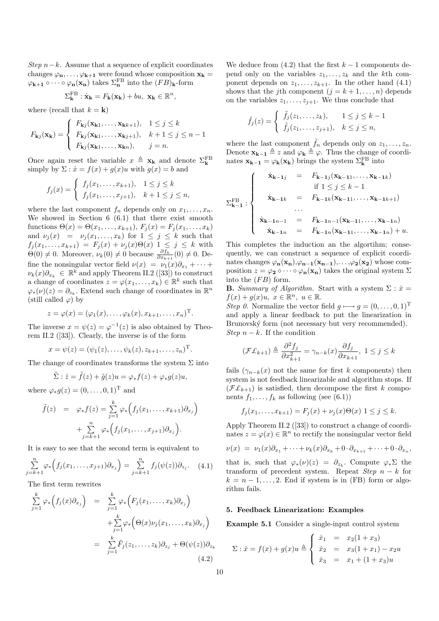Step  $n-k$ . Assume that a sequence of explicit coordinates changes  $\varphi_n, \ldots, \varphi_{k+1}$  were found whose composition  $x_k =$  $\varphi_{\mathbf{k}+\mathbf{1}} \circ \cdots \circ \varphi_{\mathbf{n}}(\mathbf{x}_{\mathbf{n}})$  takes  $\Sigma_{\mathbf{n}}^{\text{FB}}$  into the  $(FB)_{\mathbf{k}}$ -form

$$
\Sigma_{\mathbf{k}}^{\mathrm{FB}} : \dot{\mathbf{x}}_{\mathbf{k}} = F_{\mathbf{k}}(\mathbf{x}_{\mathbf{k}}) + bu, \ \mathbf{x}_{\mathbf{k}} \in \mathbb{R}^{n},
$$

where (recall that  $k = \mathbf{k}$ )

$$
F_{\mathbf{k}j}(\mathbf{x}_{\mathbf{k}}) = \begin{cases} F_{\mathbf{k}j}(\mathbf{x}_{\mathbf{k}1}, \dots, \mathbf{x}_{\mathbf{k}k+1}), & 1 \le j \le k \\ F_{\mathbf{k}j}(\mathbf{x}_{\mathbf{k}1}, \dots, \mathbf{x}_{\mathbf{k}j+1}), & k+1 \le j \le n-1 \\ F_{\mathbf{k}j}(\mathbf{x}_{\mathbf{k}1}, \dots, \mathbf{x}_{\mathbf{k}n}), & j = n. \end{cases}
$$

Once again reset the variable  $x \triangleq \mathbf{x_k}$  and denote  $\Sigma_k^{\text{FB}}$ simply by  $\Sigma : \dot{x} = f(x) + g(x)u$  with  $g(x) = b$  and

$$
f_j(x) = \begin{cases} f_j(x_1, \dots, x_{k+1}), & 1 \le j \le k \\ f_j(x_1, \dots, x_{j+1}), & k+1 \le j \le n, \end{cases}
$$

where the last component  $f_n$  depends only on  $x_1, \ldots, x_n$ . We showed in Section 6 (6.1) that there exist smooth functions  $\Theta(x) = \Theta(x_1, ..., x_{k+1}), F_j(x) = F_j(x_1, ..., x_k)$ and  $\nu_j(x) = \nu_j(x_1, \ldots, x_k)$  for  $1 \leq j \leq k$  such that  $f_j(x_1, \ldots, x_{k+1}) = F_j(x) + \nu_j(x) \Theta(x) \ \ 1 \leq j \leq k$  with  $\Theta(0) \neq 0$ . Moreover,  $\nu_k(0) \neq 0$  because  $\frac{\partial f_k}{\partial x_{k+1}}(0) \neq 0$ . Define the nonsingular vector field  $\nu(x) = \nu_1(x)\partial_{x_1} + \cdots$  $\nu_k(x)\partial_{x_k} \in \mathbb{R}^k$  and apply Theorem II.2 ([33]) to construct a change of coordinates  $z = \varphi(x_1, \ldots, x_k) \in \mathbb{R}^k$  such that  $\varphi_*(\nu)(z) = \partial_{z_k}$ . Extend such change of coordinates in  $\mathbb{R}^n$ (still called  $\varphi$ ) by

$$
z = \varphi(x) = (\varphi_1(x), \dots, \varphi_k(x), x_{k+1}, \dots, x_n)^{\mathrm{T}}.
$$

The inverse  $x = \psi(z) = \varphi^{-1}(z)$  is also obtained by Theorem II.2 ([33]). Clearly, the inverse is of the form

$$
x = \psi(z) = (\psi_1(z), \dots, \psi_k(z), z_{k+1}, \dots, z_n)^{\mathrm{T}}.
$$

The change of coordinates transforms the system  $\Sigma$  into

$$
\tilde{\Sigma}: \dot{z} = \tilde{f}(z) + \tilde{g}(z)u = \varphi_* f(z) + \varphi_* g(z)u,
$$

where  $\varphi_* g(z) = (0, \ldots, 0, 1)^T$  and

$$
\tilde{f}(z) = \varphi_* f(z) = \sum_{j=1}^k \varphi_* \Big( f_j(x_1, \dots, x_{k+1}) \partial_{x_j} \Big) + \sum_{j=k+1}^n \varphi_* \Big( f_j(x_1, \dots, x_{j+1}) \partial_{x_j} \Big).
$$

It is easy to see that the second term is equivalent to

$$
\sum_{j=k+1}^{n} \varphi_{*} \Big( f_{j}(x_{1}, \ldots, x_{j+1}) \partial_{x_{j}} \Big) = \sum_{j=k+1}^{n} f_{j}(\psi(z)) \partial_{z_{j}}.
$$
 (4.1)

The first term rewrites

$$
\sum_{j=1}^{k} \varphi_* \Big( f_j(x) \partial_{x_j} \Big) = \sum_{j=1}^{k} \varphi_* \Big( F_j(x_1, \dots, x_k) \partial_{x_j} \Big) \n+ \sum_{j=1}^{k} \varphi_* \Big( \Theta(x) \nu_j(x_1, \dots, x_k) \partial_{x_j} \Big) \n= \sum_{j=1}^{k} \tilde{F}_j(z_1, \dots, z_k) \partial_{z_j} + \Theta(\psi(z)) \partial_{z_k}
$$
\n(4.2)

We deduce from  $(4.2)$  that the first  $k-1$  components depend only on the variables  $z_1, \ldots, z_k$  and the kth component depends on  $z_1, \ldots, z_{k+1}$ . In the other hand  $(4.1)$ shows that the j<sup>th</sup> component  $(j = k + 1, ..., n)$  depends on the variables  $z_1, \ldots, z_{j+1}$ . We thus conclude that

$$
\tilde{f}_j(z) = \begin{cases} \tilde{f}_j(z_1,\ldots,z_k), & 1 \le j \le k-1 \\ \tilde{f}_j(z_1,\ldots,z_{j+1}), & k \le j \le n, \end{cases}
$$

where the last component  $\tilde{f}_n$  depends only on  $z_1, \ldots, z_n$ . Denote  $\mathbf{x}_{\mathbf{k}-\mathbf{1}} \triangleq z$  and  $\varphi_{\mathbf{k}} \triangleq \varphi$ . Thus the change of coordinates  $\mathbf{x}_{\mathbf{k}-\mathbf{1}} = \varphi_{\mathbf{k}}(\mathbf{x}_{\mathbf{k}})$  brings the system  $\Sigma_{\mathbf{k}}^{\text{FB}}$  into

$$
\Sigma_{k-1}^{FB} : \begin{cases}\n\dot{x}_{k-1j} = F_{k-1j}(x_{k-11},...,x_{k-1k}) \\
\text{if } 1 \le j \le k-1 \\
\dot{x}_{k-1k} = F_{k-1k}(x_{k-11},...,x_{k-1k+1}) \\
... \\
\dot{x}_{k-1n-1} = F_{k-1n-1}(x_{k-11},...,x_{k-1n}) \\
\dot{x}_{k-1n} = F_{k-1n}(x_{k-11},...,x_{k-1n}) + u.\n\end{cases}
$$

This completes the induction an the algortihm; consequently, we can construct a sequence of explicit coordinates changes  $\varphi_n(x_n), \varphi_{n-1}(x_{n-1}), \ldots, \varphi_2(x_2)$  whose composition  $z = \varphi_2 \circ \cdots \circ \varphi_n(x_n)$  takes the original system  $\Sigma$ into the  $(FB)$  form.

**B.** Summary of Algorithm. Start with a system  $\Sigma$  :  $\dot{x}$  =  $f(x) + g(x)u, x \in \mathbb{R}^n, u \in \mathbb{R}.$ 

Step 0. Normalize the vector field  $g \mapsto g = (0, \ldots, 0, 1)^T$ and apply a linear feedback to put the linearization in Brunovský form (not necessary but very recommended). Step  $n - k$ . If the condition

$$
(\mathcal{F}\mathcal{L}_{k+1}) \triangleq \frac{\partial^2 f_j}{\partial x_{k+1}^2} = \gamma_{n-k}(x) \frac{\partial f_j}{\partial x_{k+1}}, \ 1 \le j \le k
$$

fails  $(\gamma_{n-k}(x))$  not the same for first k components) then system is not feedback linearizable and algorithm stops. If  $(\mathcal{F}\mathcal{L}_{k+1})$  is satisfied, then decompose the first k components  $f_1, \ldots, f_k$  as following (see (6.1))

$$
f_j(x_1,...,x_{k+1}) = F_j(x) + \nu_j(x)\Theta(x) \; 1 \le j \le k.
$$

Apply Theorem II.2 ([33]) to construct a change of coordinates  $z = \varphi(x) \in \mathbb{R}^n$  to rectify the nonsingular vector field

$$
\nu(x) = \nu_1(x)\partial_{x_1} + \cdots + \nu_k(x)\partial_{x_k} + 0 \cdot \partial_{x_{k+1}} + \cdots + 0 \cdot \partial_{x_n},
$$

that is, such that  $\varphi_*(\nu)(z) = \partial_{z_k}$ . Compute  $\varphi_*\Sigma$  the transform of precedent system. Repeat  $Step\ n - k$  for  $k = n - 1, \ldots, 2$ . End if system is in (FB) form or algorithm fails.

#### 5. Feedback Linearization: Examples

Example 5.1 Consider a single-input control system

$$
\Sigma: \dot{x} = f(x) + g(x)u \stackrel{\Delta}{=} \begin{cases} \dot{x}_1 & = x_2(1+x_3) \\ \dot{x}_2 & = x_3(1+x_1) - x_2u \\ \dot{x}_3 & = x_1 + (1+x_3)u \end{cases}
$$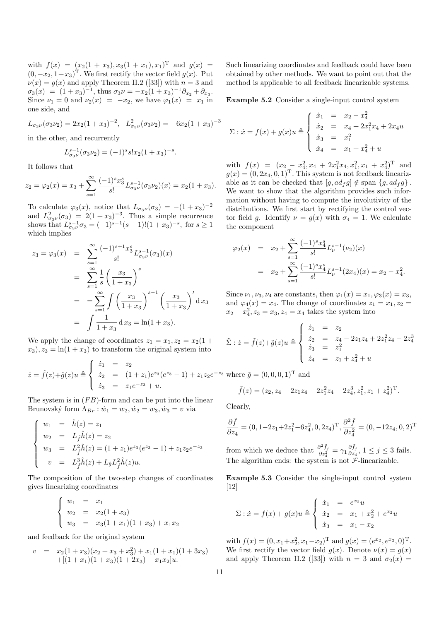with  $f(x) = (x_2(1+x_3), x_3(1+x_1), x_1)^T$  and  $g(x) =$  $(0, -x_2, 1+x_3)$ <sup>T</sup>. We first rectify the vector field  $g(x)$ . Put  $\nu(x) = g(x)$  and apply Theorem II.2 ([33]) with  $n = 3$  and  $\sigma_3(x) = (1+x_3)^{-1}$ , thus  $\sigma_3 \nu = -x_2(1+x_3)^{-1} \partial_{x_2} + \partial_{x_3}$ . Since  $\nu_1 = 0$  and  $\nu_2(x) = -x_2$ , we have  $\varphi_1(x) = x_1$  in one side, and

$$
L_{\sigma_3\nu}(\sigma_3\nu_2) = 2x_2(1+x_3)^{-2}, \quad L_{\sigma_3\nu}^2(\sigma_3\nu_2) = -6x_2(1+x_3)^{-3}
$$

in the other, and recurrently

$$
L_{\sigma_3\nu}^{s-1}(\sigma_3\nu_2) = (-1)^s s! x_2 (1+x_3)^{-s}.
$$

It follows that

$$
z_2 = \varphi_2(x) = x_3 + \sum_{s=1}^{\infty} \frac{(-1)^s x_3^s}{s!} L_{\sigma_3 \nu}^{s-1}(\sigma_3 \nu_2)(x) = x_2(1+x_3).
$$

To calculate  $\varphi_3(x)$ , notice that  $L_{\sigma_3\nu}(\sigma_3) = -(1+x_3)^{-2}$ and  $L_{\sigma_3\nu}^2(\sigma_3) = 2(1+x_3)^{-3}$ . Thus a simple recurrence shows that  $L_{\sigma_3\nu}^{s-1}\sigma_3 = (-1)^{s-1}(s-1)!(1+x_3)^{-s}$ , for  $s \ge 1$ which implies

$$
z_3 = \varphi_3(x) = \sum_{s=1}^{\infty} \frac{(-1)^{s+1} x_3^s}{s!} L_{\sigma_3 \nu}^{s-1}(\sigma_3)(x)
$$
  
= 
$$
\sum_{s=1}^{\infty} \frac{1}{s} \left(\frac{x_3}{1+x_3}\right)^s
$$
  
= 
$$
= \sum_{s=1}^{\infty} \int \left(\frac{x_3}{1+x_3}\right)^{s-1} \left(\frac{x_3}{1+x_3}\right)^t dx_3
$$
  
= 
$$
\int \frac{1}{1+x_3} dx_3 = \ln(1+x_3).
$$

We apply the change of coordinates  $z_1 = x_1, z_2 = x_2(1 +$  $x_3$ ,  $z_3 = \ln(1 + x_3)$  to transform the original system into

z˙ = ˆf(z)+ˆg(z)u , z˙<sup>1</sup> = z<sup>2</sup> z˙<sup>2</sup> = (1 + z1)e <sup>z</sup><sup>3</sup> (e <sup>z</sup><sup>3</sup> − 1) + z1z2e −z<sup>3</sup> z˙<sup>3</sup> = z1e <sup>−</sup>z<sup>3</sup> + u.

The system is in  $(FB)$ -form and can be put into the linear Brunovský form  $\Lambda_{Br}$ :  $\dot{w}_1 = w_2, \dot{w}_2 = w_3, \dot{w}_3 = v$  via

$$
\begin{cases}\nw_1 = \hat{h}(z) = z_1 \\
w_2 = L_{\hat{f}}\hat{h}(z) = z_2 \\
w_3 = L_{\hat{f}}^2\hat{h}(z) = (1+z_1)e^{z_3}(e^{z_3} - 1) + z_1z_2e^{-z_3} \\
v = L_{\hat{f}}^3\hat{h}(z) + L_{\hat{g}}L_{\hat{f}}^2\hat{h}(z)u.\n\end{cases}
$$

The composition of the two-step changes of coordinates gives linearizing coordinates

$$
\begin{cases}\nw_1 = x_1 \\
w_2 = x_2(1+x_3) \\
w_3 = x_3(1+x_1)(1+x_3) + x_1x_2\n\end{cases}
$$

and feedback for the original system

$$
v = x_2(1+x_3)(x_2+x_3+x_3^2) + x_1(1+x_1)(1+3x_3)
$$
  
+(1+x\_1)(1+x\_3)(1+2x\_3) - x\_1x\_2]u.

Such linearizing coordinates and feedback could have been obtained by other methods. We want to point out that the method is applicable to all feedback linearizable systems.

Example 5.2 Consider a single-input control system

$$
\Sigma: \dot{x} = f(x) + g(x)u \triangleq \begin{cases} \dot{x}_1 & = x_2 - x_4^2 \\ \dot{x}_2 & = x_4 + 2x_1^2x_4 + 2x_4u \\ \dot{x}_3 & = x_1^2 \\ \dot{x}_4 & = x_1 + x_4^2 + u \end{cases}
$$

with  $f(x) = (x_2 - x_4^2, x_4 + 2x_1^2, x_4, x_1^2, x_1 + x_4^2)^T$  and  $q(x) = (0, 2x_4, 0, 1)^T$ . This system is not feedback linearizable as it can be checked that  $[g, ad_f g] \notin \text{span} \{g, ad_f g\}$ . We want to show that the algorithm provides such information without having to compute the involutivity of the distributions. We first start by rectifying the control vector field g. Identify  $\nu = g(x)$  with  $\sigma_4 = 1$ . We calculate the component

$$
\varphi_2(x) = x_2 + \sum_{s=1}^{\infty} \frac{(-1)^s x_4^s}{s!} L_{\nu}^{s-1}(\nu_2)(x)
$$
  
=  $x_2 + \sum_{s=1}^{\infty} \frac{(-1)^s x_4^s}{s!} L_{\nu}^{s-1}(2x_4)(x) = x_2 - x_4^2.$ 

Since  $\nu_1, \nu_3, \nu_4$  are constants, then  $\varphi_1(x) = x_1, \varphi_3(x) = x_3$ , and  $\varphi_4(x) = x_4$ . The change of coordinates  $z_1 = x_1, z_2 =$  $x_2 - x_4^2, z_3 = x_3, z_4 = x_4$  takes the system into

$$
\tilde{\Sigma} : \dot{z} = \tilde{f}(z) + \tilde{g}(z)u \triangleq \begin{cases} \n\dot{z}_1 & = z_2 \\ \n\dot{z}_2 & = z_4 - 2z_1z_4 + 2z_1^2z_4 - 2z_4^3 \\ \n\dot{z}_3 & = z_1^2 \\ \n\dot{z}_4 & = z_1 + z_4^2 + u \n\end{cases}
$$

 $(0, 1)^T$  and

$$
\tilde{f}(z) = (z_2, z_4 - 2z_1z_4 + 2z_1^2z_4 - 2z_4^3, z_1^2, z_1 + z_4^2)^{\mathrm{T}}.
$$

Clearly,

$$
\frac{\partial \tilde{f}}{\partial z_4} = (0, 1 - 2z_1 + 2z_1^2 - 6z_4^2, 0, 2z_4)^{\mathrm{T}}, \frac{\partial^2 \tilde{f}}{\partial z_4^2} = (0, -12z_4, 0, 2)^{\mathrm{T}}
$$

from which we deduce that  $\frac{\partial^2 \tilde{f}_j}{\partial z^2}$  $\frac{\partial^2 \tilde{f}_j}{\partial z_4^2} = \gamma_1 \frac{\partial \tilde{f}_j}{\partial z_4}$  $\frac{\partial J_j}{\partial z_4}$ ,  $1 \leq j \leq 3$  fails. The algorithm ends: the system is not  $\mathcal{F}\text{-linearizable.}$ 

Example 5.3 Consider the single-input control system [12]

$$
\Sigma : \dot{x} = f(x) + g(x)u \stackrel{\Delta}{=} \begin{cases} \dot{x}_1 & = e^{x_2}u \\ \dot{x}_2 & = x_1 + x_2^2 + e^{x_2}u \\ \dot{x}_3 & = x_1 - x_2 \end{cases}
$$

with  $f(x) = (0, x_1+x_2^2, x_1-x_2)^T$  and  $g(x) = (e^{x_2}, e^{x_2}, 0)^T$ . We first rectify the vector field  $g(x)$ . Denote  $\nu(x) = g(x)$ and apply Theorem II.2 ([33]) with  $n = 3$  and  $\sigma_2(x) =$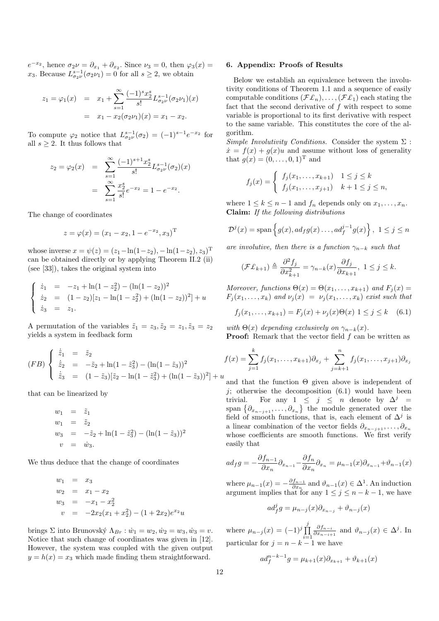$e^{-x_2}$ , hence  $\sigma_2 \nu = \partial_{x_1} + \partial_{x_2}$ . Since  $\nu_3 = 0$ , then  $\varphi_3(x) =$  $x_3$ . Because  $L_{\sigma_2\nu}^{s-1}(\sigma_2\nu_1) = 0$  for all  $s \geq 2$ , we obtain

$$
z_1 = \varphi_1(x) = x_1 + \sum_{s=1}^{\infty} \frac{(-1)^s x_2^s}{s!} L_{\sigma_2 \nu}^{s-1} (\sigma_2 \nu_1)(x)
$$
  
=  $x_1 - x_2 (\sigma_2 \nu_1)(x) = x_1 - x_2.$ 

To compute  $\varphi_2$  notice that  $L_{\sigma_2\nu}^{s-1}(\sigma_2) = (-1)^{s-1}e^{-x_2}$  for all  $s \geq 2$ . It thus follows that

$$
z_2 = \varphi_2(x) = \sum_{s=1}^{\infty} \frac{(-1)^{s+1} x_2^s}{s!} L_{\sigma_2 \nu}^{s-1}(\sigma_2)(x)
$$

$$
= \sum_{s=1}^{\infty} \frac{x_2^s}{s!} e^{-x_2} = 1 - e^{-x_2}.
$$

The change of coordinates

$$
z = \varphi(x) = (x_1 - x_2, 1 - e^{-x_2}, x_3)^{\mathrm{T}}
$$

whose inverse  $x = \psi(z) = (z_1 - \ln(1 - z_2), -\ln(1 - z_2), z_3)^T$ can be obtained directly or by applying Theorem II.2 (ii) (see [33]), takes the original system into

$$
\begin{cases}\n\dot{z}_1 = -z_1 + \ln(1 - z_2^2) - (\ln(1 - z_2))^2 \\
\dot{z}_2 = (1 - z_2)[z_1 - \ln(1 - z_2^2) + (\ln(1 - z_2))^2] + u \\
\dot{z}_3 = z_1.\n\end{cases}
$$

A permutation of the variables  $\tilde{z}_1 = z_3, \tilde{z}_2 = z_1, \tilde{z}_3 = z_2$ yields a system in feedback form

$$
(FB) \begin{cases} \n\dot{\tilde{z}}_1 = \tilde{z}_2 \\
\dot{\tilde{z}}_2 = -\tilde{z}_2 + \ln(1 - \tilde{z}_3^2) - (\ln(1 - \tilde{z}_3))^2 \\
\dot{\tilde{z}}_3 = (1 - \tilde{z}_3)[\tilde{z}_2 - \ln(1 - \tilde{z}_3^2) + (\ln(1 - \tilde{z}_3))^2] + u\n\end{cases}
$$

that can be linearized by

$$
w_1 = \tilde{z}_1
$$
  
\n
$$
w_1 = \tilde{z}_2
$$
  
\n
$$
w_3 = -\tilde{z}_2 + \ln(1 - \tilde{z}_3^2) - (\ln(1 - \tilde{z}_3))^2
$$
  
\n
$$
v = \dot{w}_3.
$$

We thus deduce that the change of coordinates

$$
w_1 = x_3
$$
  
\n
$$
w_2 = x_1 - x_2
$$
  
\n
$$
w_3 = -x_1 - x_2^2
$$
  
\n
$$
v = -2x_2(x_1 + x_2^2) - (1 + 2x_2)e^{x_2}u
$$

brings Σ into Brunovský  $\Lambda_{Br}$ :  $\dot{w}_1 = w_2, \dot{w}_2 = w_3, \dot{w}_3 = v.$ Notice that such change of coordinates was given in [12]. However, the system was coupled with the given output  $y = h(x) = x_3$  which made finding them straightforward.

#### 6. Appendix: Proofs of Results

Below we establish an equivalence between the involutivity conditions of Theorem 1.1 and a sequence of easily computable conditions  $(\mathcal{F}\mathcal{L}_n), \ldots, (\mathcal{F}\mathcal{L}_1)$  each stating the fact that the second derivative of  $f$  with respect to some variable is proportional to its first derivative with respect to the same variable. This constitutes the core of the algorithm.

Simple Involutivity Conditions. Consider the system  $\Sigma$ :  $\dot{x} = f(x) + q(x)u$  and assume without loss of generality that  $g(x) = (0, ..., 0, 1)^T$  and

$$
f_j(x) = \begin{cases} f_j(x_1, \dots, x_{k+1}) & 1 \le j \le k \\ f_j(x_1, \dots, x_{j+1}) & k+1 \le j \le n, \end{cases}
$$

where  $1 \leq k \leq n-1$  and  $f_n$  depends only on  $x_1, \ldots, x_n$ . Claim: If the following distributions

$$
\mathcal{D}^{j}(x) = \text{span}\left\{g(x), ad_{f}g(x) \ldots, ad_{f}^{j-1}g(x)\right\}, \ 1 \leq j \leq n
$$

are involutive, then there is a function  $\gamma_{n-k}$  such that

$$
(\mathcal{F}\mathcal{L}_{k+1}) \triangleq \frac{\partial^2 f_j}{\partial x_{k+1}^2} = \gamma_{n-k}(x) \frac{\partial f_j}{\partial x_{k+1}}, \ 1 \le j \le k.
$$

Moreover, functions  $\Theta(x) = \Theta(x_1, \ldots, x_{k+1})$  and  $F_i(x) =$  $F_j(x_1,\ldots,x_k)$  and  $\nu_j(x) = \nu_j(x_1,\ldots,x_k)$  exist such that

$$
f_j(x_1,...,x_{k+1}) = F_j(x) + \nu_j(x)\Theta(x) \; 1 \le j \le k \quad (6.1)
$$

with  $\Theta(x)$  depending exclusively on  $\gamma_{n-k}(x)$ . **Proof:** Remark that the vector field f can be written as

$$
f(x) = \sum_{j=1}^{k} f_j(x_1, \dots, x_{k+1}) \partial_{x_j} + \sum_{j=k+1}^{n} f_j(x_1, \dots, x_{j+1}) \partial_{x_j}
$$

and that the function  $\Theta$  given above is independent of j; otherwise the decomposition  $(6.1)$  would have been trivial. For any  $1 \leq j \leq n$  denote by  $\Delta^j =$ trivial. For any  $1 \leq j \leq n$  denote by  $\Delta^j =$ <br>span  $\{\partial_{x_{n-j+1}}, \ldots, \partial_{x_n}\}\$  the module generated over the field of smooth functions, that is, each element of  $\Delta^j$  is a linear combination of the vector fields  $\partial_{x_{n-j+1}}, \ldots, \partial_{x_n}$ whose coefficients are smooth functions. We first verify easily that

$$
ad_f g = -\frac{\partial f_{n-1}}{\partial x_n} \partial_{x_{n-1}} - \frac{\partial f_n}{\partial x_n} \partial_{x_n} = \mu_{n-1}(x) \partial_{x_{n-1}} + \vartheta_{n-1}(x)
$$

where  $\mu_{n-1}(x) = -\frac{\partial f_{n-1}}{\partial x_n}$  $\frac{f_{n-1}}{\partial x_n}$  and  $\vartheta_{n-1}(x) \in \Delta^1$ . An induction argument implies that for any  $1 \leq j \leq n-k-1$ , we have

$$
ad_f^j g = \mu_{n-j}(x)\partial_{x_{n-j}} + \vartheta_{n-j}(x)
$$

where  $\mu_{n-j}(x) = (-1)^j \prod_{j=1}^j$  $i=1$  $\partial f_{n-i}$  $\frac{\partial f_{n-i}}{\partial x_{n-i+1}}$  and  $\vartheta_{n-j}(x) \in \Delta^j$ . In particular for  $j = n - k - 1$  we have

$$
ad_f^{n-k-1}g = \mu_{k+1}(x)\partial_{x_{k+1}} + \vartheta_{k+1}(x)
$$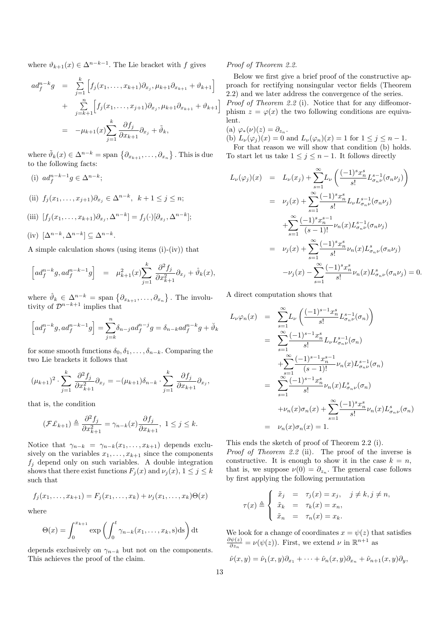where  $\vartheta_{k+1}(x) \in \Delta^{n-k-1}$ . The Lie bracket with f gives

$$
ad_f^{n-k}g = \sum_{j=1}^k \left[ f_j(x_1, ..., x_{k+1}) \partial_{x_j}, \mu_{k+1} \partial_{x_{k+1}} + \vartheta_{k+1} \right] + \sum_{j=k+1}^n \left[ f_j(x_1, ..., x_{j+1}) \partial_{x_j}, \mu_{k+1} \partial_{x_{k+1}} + \vartheta_{k+1} \right] = -\mu_{k+1}(x) \sum_{j=1}^k \frac{\partial f_j}{\partial x_{k+1}} \partial_{x_j} + \tilde{\vartheta}_k,
$$

where  $\tilde{\vartheta}_k(x) \in \Delta^{n-k} = \text{span} \{ \partial_{x_{k+1}}, \dots, \partial_{x_n} \}$ ª . This is due to the following facts:

(i) 
$$
ad_f^{n-k-1}g \in \Delta^{n-k}
$$
;

(ii)  $f_j(x_1,...,x_{j+1})\partial_{x_j} \in \Delta^{n-k}, \; k+1 \leq j \leq n;$ 

(iii) 
$$
[f_j(x_1,\ldots,x_{k+1})\partial_{x_j},\Delta^{n-k}] = f_j(\cdot)[\partial_{x_j},\Delta^{n-k}];
$$

(iv) 
$$
[\Delta^{n-k}, \Delta^{n-k}] \subseteq \Delta^{n-k}
$$
.

A simple calculation shows (using items (i)-(iv)) that

$$
\[ad_f^{n-k}g, ad_f^{n-k-1}g\] = \mu_{k+1}^2(x) \sum_{j=1}^k \frac{\partial^2 f_j}{\partial x_{k+1}^2} \partial_{x_j} + \hat{\vartheta}_k(x),\]
$$

where  $\hat{\vartheta}_k \in \Delta^{n-k} = \text{span} \{ \partial_{x_{k+1}}, \ldots, \partial_{x_n} \}$ ª . The involutivity of  $\mathcal{D}^{n-k+1}$  implies that

$$
\left[ad_f^{n-k}g, ad_f^{n-k-1}g\right] = \sum_{j=k}^n \delta_{n-j}ad_f^{n-j}g = \delta_{n-k}ad_f^{n-k}g + \check{\vartheta}_k
$$

for some smooth functions  $\delta_0, \delta_1, \ldots, \delta_{n-k}$ . Comparing the two Lie brackets it follows that

$$
(\mu_{k+1})^2 \cdot \sum_{j=1}^k \frac{\partial^2 f_j}{\partial x_{k+1}^2} \partial_{x_j} = -(\mu_{k+1}) \delta_{n-k} \cdot \sum_{j=1}^k \frac{\partial f_j}{\partial x_{k+1}} \partial_{x_j},
$$

that is, the condition

$$
(\mathcal{F}\mathcal{L}_{k+1}) \triangleq \frac{\partial^2 f_j}{\partial x_{k+1}^2} = \gamma_{n-k}(x) \frac{\partial f_j}{\partial x_{k+1}}, \ 1 \le j \le k.
$$

Notice that  $\gamma_{n-k} = \gamma_{n-k}(x_1, \ldots, x_{k+1})$  depends exclusively on the variables  $x_1, \ldots, x_{k+1}$  since the components  $f_j$  depend only on such variables. A double integration shows that there exist functions  $F_j(x)$  and  $\nu_j(x)$ ,  $1 \leq j \leq k$ such that

$$
f_j(x_1,...,x_{k+1}) = F_j(x_1,...,x_k) + \nu_j(x_1,...,x_k)\Theta(x)
$$

where

$$
\Theta(x) = \int_0^{x_{k+1}} \exp\left(\int_0^t \gamma_{n-k}(x_1,\ldots,x_k,s) \mathrm{d}s\right) \mathrm{d}t
$$

depends exclusively on  $\gamma_{n-k}$  but not on the components. This achieves the proof of the claim.

#### Proof of Theorem 2.2.

Below we first give a brief proof of the constructive approach for rectifying nonsingular vector fields (Theorem 2.2) and we later address the convergence of the series. Proof of Theorem 2.2 (i). Notice that for any diffeomorphism  $z = \varphi(x)$  the two following conditions are equivalent.

(a)  $\varphi_*(\nu)(z) = \partial_{z_n}$ .

(b)  $L_{\nu}(\varphi_j)(x) = 0$  and  $L_{\nu}(\varphi_n)(x) = 1$  for  $1 \leq j \leq n - 1$ .

For that reason we will show that condition (b) holds. To start let us take  $1 \leq j \leq n-1$ . It follows directly

$$
L_{\nu}(\varphi_{j})(x) = L_{\nu}(x_{j}) + \sum_{s=1}^{\infty} L_{\nu}\left(\frac{(-1)^{s}x_{n}^{s}}{s!}L_{\sigma_{n}\nu}^{s-1}(\sigma_{n}\nu_{j})\right)
$$
  
\n
$$
= \nu_{j}(x) + \sum_{s=1}^{\infty} \frac{(-1)^{s}x_{n}^{s}}{s!}L_{\nu}L_{\sigma_{n}\nu}^{s-1}(\sigma_{n}\nu_{j})
$$
  
\n
$$
+ \sum_{s=1}^{\infty} \frac{(-1)^{s}x_{n}^{s-1}}{(s-1)!} \nu_{n}(x)L_{\sigma_{n}\nu}^{s-1}(\sigma_{n}\nu_{j})
$$
  
\n
$$
= \nu_{j}(x) + \sum_{s=1}^{\infty} \frac{(-1)^{s}x_{n}^{s}}{s!} \nu_{n}(x)L_{\sigma_{n}\nu}^{s}(\sigma_{n}\nu_{j})
$$
  
\n
$$
- \nu_{j}(x) - \sum_{s=1}^{\infty} \frac{(-1)^{s}x_{n}^{s}}{s!} \nu_{n}(x)L_{\sigma_{n}\nu}^{s}(\sigma_{n}\nu_{j}) = 0.
$$

A direct computation shows that

$$
L_{\nu}\varphi_{n}(x) = \sum_{s=1}^{\infty} L_{\nu}\left(\frac{(-1)^{s-1}x_{n}^{s}}{s!}L_{\sigma_{n}\nu}^{s-1}(\sigma_{n})\right)
$$
  
\n
$$
= \sum_{s=1}^{\infty} \frac{(-1)^{s-1}x_{n}^{s}}{s!}L_{\nu}L_{\sigma_{n}\nu}^{s-1}(\sigma_{n})
$$
  
\n
$$
+ \sum_{s=1}^{\infty} \frac{(-1)^{s-1}x_{n}^{s-1}}{(s-1)!} \nu_{n}(x)L_{\sigma_{n}\nu}^{s-1}(\sigma_{n})
$$
  
\n
$$
= \sum_{s=1}^{\infty} \frac{(-1)^{s-1}x_{n}^{s}}{s!} \nu_{n}(x)L_{\sigma_{n}\nu}^{s}(\sigma_{n})
$$
  
\n
$$
+ \nu_{n}(x)\sigma_{n}(x) + \sum_{s=1}^{\infty} \frac{(-1)^{s}x_{n}^{s}}{s!} \nu_{n}(x)L_{\sigma_{n}\nu}^{s}(\sigma_{n})
$$
  
\n
$$
= \nu_{n}(x)\sigma_{n}(x) = 1.
$$

This ends the sketch of proof of Theorem 2.2 (i).

Proof of Theorem 2.2 (ii). The proof of the inverse is constructive. It is enough to show it in the case  $k = n$ , that is, we suppose  $\nu(0) = \partial_{z_n}$ . The general case follows by first applying the following permutation

$$
\tau(x) \triangleq \begin{cases} \tilde{x}_j &= \tau_j(x) = x_j, \quad j \neq k, j \neq n, \\ \tilde{x}_k &= \tau_k(x) = x_n, \\ \tilde{x}_n &= \tau_n(x) = x_k. \end{cases}
$$

We look for a change of coordinates  $x = \psi(z)$  that satisfies  $\partial \psi(z)$  $\frac{\partial \psi(z)}{\partial z_n} = \nu(\psi(z)).$  First, we extend  $\nu$  in  $\mathbb{R}^{n+1}$  as

$$
\hat{\nu}(x,y) = \hat{\nu}_1(x,y)\partial_{x_1} + \cdots + \hat{\nu}_n(x,y)\partial_{x_n} + \hat{\nu}_{n+1}(x,y)\partial_y,
$$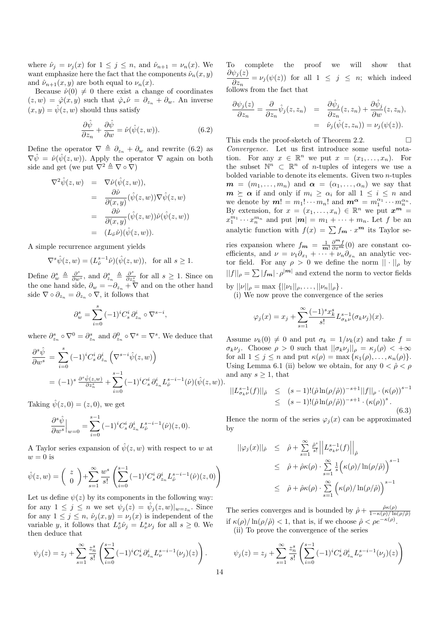where  $\hat{\nu}_i = \nu_i(x)$  for  $1 \leq j \leq n$ , and  $\hat{\nu}_{n+1} = \nu_n(x)$ . We want emphasize here the fact that the components  $\hat{\nu}_n(x, y)$ and  $\hat{\nu}_{n+1}(x, y)$  are both equal to  $\nu_n(x)$ .

Because  $\hat{\nu}(0) \neq 0$  there exist a change of coordinates  $(z, w) = \hat{\varphi}(x, y)$  such that  $\hat{\varphi}_* \hat{\nu} = \partial_{z_n} + \partial_w$ . An inverse  $(x, y) = \hat{\psi}(z, w)$  should thus satisfy

$$
\frac{\partial \hat{\psi}}{\partial z_n} + \frac{\partial \hat{\psi}}{\partial w} = \hat{\nu}(\hat{\psi}(z, w)).
$$
 (6.2)

Define the operator  $\nabla \triangleq \partial_{z_n} + \partial_w$  and rewrite (6.2) as  $\nabla \hat{\psi} = \hat{\nu}(\hat{\psi}(z,w))$ . Apply the operator  $\nabla$  again on both side and get (we put  $\nabla^2 \triangleq \nabla \circ \nabla$ )

$$
\nabla^2 \hat{\psi}(z, w) = \nabla \hat{\nu}(\hat{\psi}(z, w)),
$$
  
\n
$$
= \frac{\partial \hat{\nu}}{\partial(x, y)} (\hat{\psi}(z, w)) \nabla \hat{\psi}(z, w)
$$
  
\n
$$
= \frac{\partial \hat{\nu}}{\partial(x, y)} (\hat{\psi}(z, w)) \hat{\nu}(\hat{\psi}(z, w))
$$
  
\n
$$
= (L_{\hat{\nu}} \hat{\nu}) (\hat{\psi}(z, w)).
$$

A simple recurrence argument yields

$$
\nabla^s \hat{\psi}(z, w) = (L^{s-1}_{\hat{\nu}} \hat{\nu})(\hat{\psi}(z, w)), \text{ for all } s \ge 1.
$$

Define  $\partial_w^s \triangleq \frac{\partial^s}{\partial w^s}$ , and  $\partial_{z_n}^s \triangleq \frac{\partial^s}{\partial z_s^s}$  $\frac{\partial^s}{\partial z_n^s}$  for all  $s \geq 1$ . Since on the one hand side,  $\partial_w = -\partial_{z_n} + \nabla$  and on the other hand side  $\nabla \circ \partial_{z_n} = \partial_{z_n} \circ \nabla$ , it follows that

$$
\partial_w^s = \sum_{i=0}^s (-1)^i C_s^i \, \partial_{z_n}^i \circ \nabla^{s-i},
$$

where  $\partial_{z_n}^s \circ \nabla^0 = \partial_{z_n}^s$  and  $\partial_{z_n}^0 \circ \nabla^s = \nabla^s$ . We deduce that

$$
\frac{\partial^s \hat{\psi}}{\partial w^s} = \sum_{i=0}^s (-1)^i C_s^i \partial_{z_n}^i \left( \nabla^{s-i} \hat{\psi}(z, w) \right)
$$
  
=  $(-1)^s \frac{\partial^s \hat{\psi}(z, w)}{\partial z_n^s} + \sum_{i=0}^{s-1} (-1)^i C_s^i \partial_{z_n}^i L_{\hat{\nu}}^{s-i-1}(\hat{\nu})(\hat{\psi}(z, w)).$ 

Taking  $\hat{\psi}(z,0) = (z,0)$ , we get

$$
\frac{\partial^s \hat{\psi}}{\partial w^s}\Big|_{w=0} = \sum_{i=0}^{s-1} (-1)^i C_s^i \partial_{z_n}^i L_{\hat{\nu}}^{s-i-1}(\hat{\nu})(z,0).
$$

A Taylor series expansion of  $\hat{\psi}(z, w)$  with respect to w at  $w = 0$  is

$$
\hat{\psi}(z,w) = \begin{pmatrix} z \\ 0 \end{pmatrix} + \sum_{s=1}^{\infty} \frac{w^s}{s!} \left( \sum_{i=0}^{s-1} (-1)^i C_s^i \partial_{z_n}^i L_{\hat{\nu}}^{s-i-1}(\hat{\nu})(z,0) \right)
$$

Let us define  $\psi(z)$  by its components in the following way: for any  $1 \leq j \leq n$  we set  $\psi_j(z) = \hat{\psi}_j(z,w)|_{w=z_n}$ . Since for any  $1 \leq j \leq n$ ,  $\hat{\nu}_j(x, y) = \nu_j(x)$  is independent of the variable y, it follows that  $L^s_{\hat{\nu}} \hat{\nu}_j = L^s_{\nu} \nu_j$  for all  $s \geq 0$ . We then deduce that

$$
\psi_j(z) = z_j + \sum_{s=1}^{\infty} \frac{z_n^s}{s!} \left( \sum_{i=0}^{s-1} (-1)^i C_s^i \partial_{z_n}^i L_{\nu}^{s-i-1} (\nu_j)(z) \right).
$$

To complete the proof we will show that  $\frac{\partial \psi_j(z)}{\partial z} = \nu_j(\psi(z))$  for all  $1 \leq j \leq n$ ; which indeed  $\partial z_n$ follows from the fact that

$$
\frac{\partial \psi_j(z)}{\partial z_n} = \frac{\partial}{\partial z_n} \hat{\psi}_j(z, z_n) = \frac{\partial \hat{\psi}_j}{\partial z_n}(z, z_n) + \frac{\partial \hat{\psi}_j}{\partial w}(z, z_n), \n= \hat{\nu}_j(\hat{\psi}(z, z_n)) = \nu_j(\psi(z)).
$$

This ends the proof-sketch of Theorem 2.2.  $\Box$ Convergence. Let us first introduce some useful notation. For any  $x \in \mathbb{R}^n$  we put  $x = (x_1, \ldots, x_n)$ . For the subset  $\mathbb{N}^n \subset \mathbb{R}^n$  of *n*-tuples of integers we use a bolded variable to denote its elements. Given two n-tuples  $m = (m_1, \ldots, m_n)$  and  $\alpha = (\alpha_1, \ldots, \alpha_n)$  we say that  $m \ge \alpha$  if and only if  $m_i \ge \alpha_i$  for all  $1 \le i \le n$  and we denote by  $m! = m_1! \cdots m_n!$  and  $m^{\alpha} = m_1^{\alpha_1} \cdots m_n^{\alpha_n}$ . By extension, for  $x = (x_1, \ldots, x_n) \in \mathbb{R}^n$  we put  $x^m =$  $x_1^{m_1} \cdots x_n^{m_n}$  and put  $|\boldsymbol{m}| = m_1 + \cdots + m_n$ . Let f be an analytic function with  $f(x) = \sum f_m \cdot x^m$  its Taylor series expansion where  $f_m = \frac{1}{m!} \frac{\partial^m f}{\partial x^m}$  (0) are constant coefficients, and  $\nu = \nu_1 \partial_{x_1} + \cdots + \nu_n \partial_{x_n}$  an analytic vector field. For any  $\rho > 0$  we define the norm  $|| \cdot ||_{\rho}$  by  $||f||_\rho = \sum |f_m| \cdot \rho^{|m|}$  and extend the norm to vector fields by  $||\nu||_{\rho} = \max \{||\nu_1||_{\rho}, \ldots, ||\nu_n||_{\rho}\}.$ 

(i) We now prove the convergence of the series

$$
\varphi_j(x) = x_j + \sum_{s=1}^{\infty} \frac{(-1)^s x_k^s}{s!} L_{\sigma_k \nu}^{s-1}(\sigma_k \nu_j)(x).
$$

Assume  $\nu_k(0) \neq 0$  and put  $\sigma_k = 1/\nu_k(x)$  and take  $f =$  $\sigma_k \nu_j$ . Choose  $\rho > 0$  such that  $||\sigma_k \nu_j||_\rho = \kappa_j(\rho) < +\infty$ for all  $1 \leq j \leq n$  and put  $\kappa(\rho) = \max{\kappa_1(\rho), \ldots, \kappa_n(\rho)}$ . Using Lemma 6.1 (ii) below we obtain, for any  $0 < \hat{\rho} < \rho$ and any  $s \geq 1$ , that

$$
||L_{\sigma_k\nu}^{s-1}(f)||_{\hat{\rho}} \le (s-1)!(\hat{\rho}\ln(\rho/\hat{\rho}))^{-s+1}||f||_{\rho} \cdot (\kappa(\rho))^{s-1}
$$
  
 
$$
\le (s-1)!(\hat{\rho}\ln(\rho/\hat{\rho}))^{-s+1} \cdot (\kappa(\rho))^{s}.
$$
 (6.3)

Hence the norm of the series  $\varphi_j(x)$  can be approximated by

$$
\begin{array}{rcl}\n||\varphi_j(x)||_{\hat{\rho}} & \leq & \hat{\rho} + \sum\limits_{s=1}^{\infty} \frac{\hat{\rho}^s}{s!} \left| \left| L_{\sigma_k \nu}^{s-1}(f) \right| \right|_{\hat{\rho}} \\
& \leq & \hat{\rho} + \hat{\rho} \kappa(\rho) \cdot \sum\limits_{s=1}^{\infty} \frac{1}{s} \left( \kappa(\rho) / \ln(\rho/\hat{\rho}) \right)^{s-1} \\
& \leq & \hat{\rho} + \hat{\rho} \kappa(\rho) \cdot \sum\limits_{s=1}^{\infty} \left( \kappa(\rho) / \ln(\rho/\hat{\rho}) \right)^{s-1}\n\end{array}
$$

The series converges and is bounded by  $\hat{\rho} + \frac{\hat{\rho}\kappa(\rho)}{1-\kappa(\rho)}$  $1-\kappa(\rho)/\ln(\rho/\hat{\rho})$ if  $\kappa(\rho)/\ln(\rho/\hat{\rho}) < 1$ , that is, if we choose  $\hat{\rho} < \rho e^{-\kappa(\rho)}$ . (ii) To prove the convergence of the series

$$
\psi_j(z) = z_j + \sum_{s=1}^{\infty} \frac{z_n^s}{s!} \left( \sum_{i=0}^{s-1} (-1)^i C_s^i \partial_{z_n}^i L_{\nu}^{s-i-1} (\nu_j)(z) \right)
$$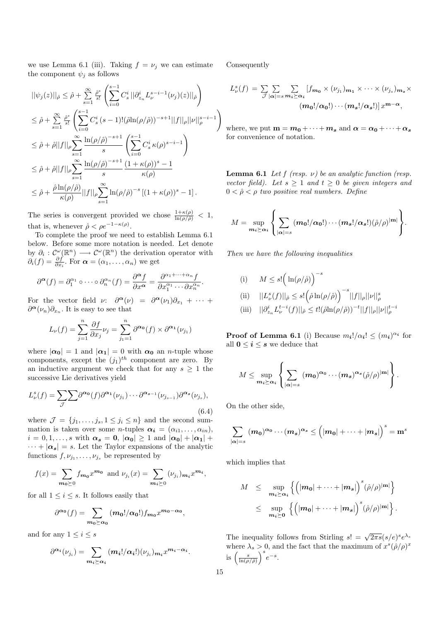we use Lemma 6.1 (iii). Taking  $f = \nu_i$  we can estimate the component  $\psi_i$  as follows

$$
\begin{split} &||\psi_j(z)||_{\hat{\rho}}\leq \hat{\rho}+\sum\limits_{s=1}^{\infty}\frac{\hat{\rho}^s}{s!}\left(\sum\limits_{i=0}^{s-1}C_s^i||\partial_{z_n}^iL_{\nu}^{s-i-1}(\nu_j)(z)||_{\hat{\rho}}\right)\\ &\leq \hat{\rho}+\sum\limits_{s=1}^{\infty}\frac{\hat{\rho}^s}{s!}\left(\sum\limits_{i=0}^{s-1}C_s^i(s-1)!(\hat{\rho}\text{ln}(\rho/\hat{\rho}))^{-s+1}||f||_{\rho}||\nu||_{\rho}^{s-i-1}\right)\\ &\leq \hat{\rho}+\hat{\rho}||f||_{\rho}\sum\limits_{s=1}^{\infty}\frac{\text{ln}(\rho/\hat{\rho})^{-s+1}}{s}\left(\sum\limits_{i=0}^{s-1}C_s^i\,\kappa(\rho)^{s-i-1}\right)\\ &\leq \hat{\rho}+\hat{\rho}||f||_{\rho}\sum\limits_{s=1}^{\infty}\frac{\text{ln}(\rho/\hat{\rho})^{-s+1}}{s}\frac{(1+\kappa(\rho))^s-1}{\kappa(\rho)}\\ &\leq \hat{\rho}+\frac{\hat{\rho}\ln(\rho/\hat{\rho})}{\kappa(\rho)}||f||_{\rho}\sum\limits_{s=1}^{\infty}\ln(\rho/\hat{\rho})^{-s}\left[(1+\kappa(\rho))^s-1\right]. \end{split}
$$

The series is convergent provided we chose  $\frac{1+\kappa(\rho)}{\ln(\rho/\tilde{\rho})} < 1$ , that is, whenever  $\hat{\rho} < \rho e^{-1 - \kappa(\rho)}$ .

To complete the proof we need to establish Lemma 6.1 below. Before some more notation is needed. Let denote by  $\partial_i: \mathcal{C}^{\omega}(\mathbb{R}^n) \longrightarrow \mathcal{C}^{\omega}(\mathbb{R}^n)$  the derivation operator with  $\partial_i(f) = \frac{\partial f}{\partial x_i}$ . For  $\boldsymbol{\alpha} = (\alpha_1, \dots, \alpha_n)$  we get

$$
\partial^{\boldsymbol{\alpha}}(f) = \partial_1^{\alpha_1} \circ \cdots \circ \partial_n^{\alpha_n}(f) = \frac{\partial^{\boldsymbol{\alpha}}f}{\partial x^{\boldsymbol{\alpha}}} = \frac{\partial^{\alpha_1 + \cdots + \alpha_n}f}{\partial x_1^{\alpha_1} \cdots \partial x_n^{\alpha_n}}.
$$

For the vector field  $\nu: \quad \partial^{\alpha}(\nu) = \partial^{\alpha}(\nu_1)\partial_{x_1} + \cdots$  $\partial^{\alpha}(\nu_n)\partial_{x_n}$ . It is easy to see that

$$
L_{\nu}(f)=\sum_{j=1}^n\frac{\partial f}{\partial x_j}\nu_j=\sum_{j_1=1}^n\partial^{\pmb{\alpha_0}}(f)\times\partial^{\pmb{\alpha_1}}(\nu_{j_1})
$$

where  $|\alpha_0| = 1$  and  $|\alpha_1| = 0$  with  $\alpha_0$  an *n*-tuple whose components, except the  $(j_1)^{th}$  component are zero. By an inductive argument we check that for any  $s \geq 1$  the successive Lie derivatives yield

$$
L^s_\nu(f) = \sum_{\mathcal{J}} \sum \partial^{\alpha_0}(f) \partial^{\alpha_1}(\nu_{j_1}) \cdots \partial^{\alpha_{s-1}}(\nu_{j_{s-1}}) \partial^{\alpha_s}(\nu_{j_s}),
$$
\n(6.4)

where  $\mathcal{J} = \{j_1, \ldots, j_s, 1 \leq j_i \leq n\}$  and the second summation is taken over some *n*-tuples  $\alpha_i = (\alpha_{i1}, \ldots, \alpha_{in}),$  $i = 0, 1, \ldots, s$  with  $\alpha_s = 0$ ,  $|\alpha_0| \geq 1$  and  $|\alpha_0| + |\alpha_1| +$  $\cdots + |\alpha_{s}| = s$ . Let the Taylor expansions of the analytic functions  $f, \nu_{j_1}, \ldots, \nu_{j_s}$  be represented by

$$
f(x) = \sum_{m_0 \geq 0} f_{m_0} x^{m_0}
$$
 and  $\nu_{j_i}(x) = \sum_{m_i \geq 0} (\nu_{j_i})_{m_i} x^{m_i}$ ,

for all  $1 \leq i \leq s$ . It follows easily that

$$
\partial^{\alpha_0}(f) = \sum_{m_0 \succeq \alpha_0} (m_0!/\alpha_0!) f_{m_0} x^{m_0 - \alpha_0},
$$

and for any  $1 \leq i \leq s$ 

$$
\partial^{\alpha_i}(\nu_{j_i}) = \sum_{m_i \succeq \alpha_i} (m_i!/\alpha_i!) (\nu_{j_i})_{m_i} x^{m_i - \alpha_i}.
$$

Consequently

$$
L_{\nu}^{s}(f) = \sum_{\mathcal{J}} \sum_{|\alpha|=s} \sum_{m_{i}\succeq \alpha_{i}} [f_{m_{0}} \times (\nu_{j_{1}})_{m_{1}} \times \cdots \times (\nu_{j_{s}})_{m_{s}} \times
$$

$$
(m_{0}!/\alpha_{0}!) \cdots (m_{s}!/\alpha_{s}!)] x^{\mathbf{m}-\alpha},
$$

where, we put  $\mathbf{m} = m_0 + \cdots + m_s$  and  $\alpha = \alpha_0 + \cdots + \alpha_s$ for convenience of notation.

**Lemma 6.1** Let  $f$  (resp.  $\nu$ ) be an analytic function (resp. vector field). Let  $s \geq 1$  and  $t \geq 0$  be given integers and  $0 < \hat{\rho} < \rho$  two positive real numbers. Define

$$
M = \sup_{\mathbf{m_s} \succeq \alpha_i} \left\{ \sum_{|\alpha|=s} (\mathbf{m_0}! / \alpha_0!) \cdots (\mathbf{m_s}! / \alpha_s!) (\hat{\rho}/\rho)^{|\mathbf{m}|} \right\}.
$$

Then we have the following inequalities

(i) 
$$
M \leq s! \left( \ln(\rho/\hat{\rho}) \right)^{-s}
$$
  
\n(ii)  $||L_{\nu}^{s}(f)||_{\hat{\rho}} \leq s! \left( \hat{\rho} \ln(\rho/\hat{\rho}) \right)^{-s} ||f||_{\rho} ||\nu||_{\rho}^{s}$   
\n(iii)  $||\partial_{z_{n}}^{i} L_{\nu}^{t-i}(f)||_{\hat{\rho}} \leq t! (\hat{\rho} \ln(\rho/\hat{\rho}))^{-t} ||f||_{\rho} ||\nu||_{\rho}^{t-i}$ 

**Proof of Lemma 6.1** (i) Because  $m_i!/\alpha_i! \leq (m_i)^{\alpha_i}$  for all  $0 \leq i \leq s$  we deduce that

$$
M \leq \sup_{\mathbf{m_{i}} \succeq \alpha_{i}} \left\{ \sum_{|\alpha|=s} (\mathbf{m_{0}})^{\alpha_{0}} \cdots (\mathbf{m_{s}})^{\alpha_{s}}(\hat{\rho}/\rho)^{|\mathbf{m}|} \right\}.
$$

On the other side,

$$
\sum_{|\boldsymbol{\alpha}|=s}\ (m_0)^{\boldsymbol{\alpha}_0}\cdots (m_s)^{\boldsymbol{\alpha}_s}\le \Big(|m_0|+\cdots+|m_s|\Big)^s=\mathbf{m}^s
$$

which implies that

$$
M \leq \sup_{\mathbf{m}_i \succeq \mathbf{a}_i} \left\{ \left( |\mathbf{m}_0| + \dots + |\mathbf{m}_s| \right)^s (\hat{\rho}/\rho)^{|\mathbf{m}|} \right\}
$$
  

$$
\leq \sup_{\mathbf{m}_i \succeq \mathbf{0}} \left\{ \left( |\mathbf{m}_0| + \dots + |\mathbf{m}_s| \right)^s (\hat{\rho}/\rho)^{|\mathbf{m}|} \right\}.
$$

The inequality follows from Stirling  $s! = \sqrt{2\pi s} (s/e)^s e^{\lambda s}$ where  $\lambda_s > 0$ , and the fact that the maximum of  $x^s(\hat{\rho}/\rho)^x$ where  $\lambda_s > 0$ , all<br>is  $\left(\frac{s}{\ln(\rho/\hat{\rho})}\right)^s e^{-s}$ .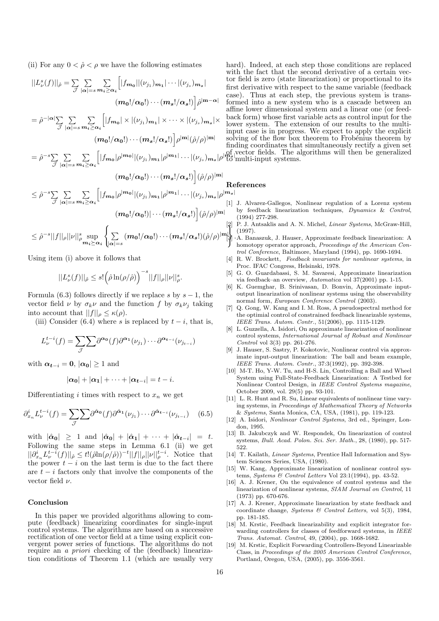(ii) For any  $0 < \hat{\rho} < \rho$  we have the following estimates

$$
||L_{\nu}^{s}(f)||_{\hat{\rho}} = \sum_{\mathcal{J}} \sum_{|\alpha|=s} \sum_{m_{i}\geq \alpha_{i}} [|f_{m_{0}}||(\nu_{j_{1}})_{m_{1}}| \cdots |(\nu_{j_{s}})_{m_{s}}| + \text{for } \text{first} \text{ for } \text{first} \text{ and } \text{first} \text{ and } \text{first} \text{ and } \text{first} \text{ and } \text{first} \text{ and } \text{first} \text{ and } \text{first} \text{ and } \text{first} \text{ and } \text{first} \text{ and } \text{first} \text{ and } \text{first} \text{ and } \text{first} \text{ and } \text{first} \text{ and } \text{first} \text{ and } \text{first} \text{ and } \text{first} \text{ and } \text{first} \text{ and } \text{first} \text{ and } \text{first} \text{ and } \text{first} \text{ and } \text{first} \text{ and } \text{first} \text{ and } \text{first} \text{ and } \text{first} \text{ and } \text{first} \text{ and } \text{first} \text{ and } \text{first} \text{ and } \text{first} \text{ and } \text{first} \text{ and } \text{first} \text{ and } \text{first} \text{ and } \text{first} \text{ and } \text{first} \text{ and } \text{first} \text{ and } \text{first} \text{ and } \text{first} \text{ and } \text{first} \text{ and } \text{first} \text{ and } \text{first} \text{ and } \text{first} \text{ and } \text{first} \text{ and } \text{first} \text{ and } \text{first} \text{ and } \text{first} \text{ and } \text{first} \text{ and } \text{first} \text{ and } \text{first} \text{ and } \text{first} \text{ and } \text{first} \text{ and } \text{first} \text{ and } \text{first} \text{ and } \text{first} \text{ and } \text{first} \text{ and } \text{first} \text{ and } \text{first} \text{ and } \text{first} \text{ and } \text{first} \text{ and } \text{first} \text{ and } \text{first} \text{ and } \text{first} \text{ and } \text{first} \text{ and } \text{first} \text{ and } \text{first} \text{ and } \text{first} \text{ and } \text{first} \text{ and } \text{
$$

Using item (i) above it follows that

$$
||L^s_\nu(f)||_{\hat{\rho}} \le s! \Big(\hat{\rho} \ln(\rho/\hat{\rho})\Big)^{-s} ||f||_\rho ||\nu||^s_\rho.
$$

Formula (6.3) follows directly if we replace s by  $s - 1$ , the vector field  $\nu$  by  $\sigma_k \nu$  and the function f by  $\sigma_k \nu_i$  taking into account that  $||f||_{\rho} \leq \kappa(\rho)$ .

(iii) Consider (6.4) where s is replaced by  $t - i$ , that is,

$$
L_{\nu}^{t-i}(f) = \sum_{\mathcal{J}} \sum \partial^{\alpha_0}(f) \partial^{\alpha_1}(\nu_{j_1}) \cdots \partial^{\alpha_{t-i}}(\nu_{j_{t-i}})
$$

with  $\alpha_{t-i} = 0$ ,  $|\alpha_0| > 1$  and

$$
|\alpha_0|+|\alpha_1|+\cdots+|\alpha_{t-i}|=t-i.
$$

Differentiating i times with respect to  $x_n$  we get

$$
\partial_{x_n}^i L^{t-i}_{\nu}(f) = \sum_{\mathcal{J}} \sum \partial^{\hat{\alpha}_0}(f) \partial^{\hat{\alpha}_1}(\nu_{j_1}) \cdots \partial^{\hat{\alpha}_{t-i}}(\nu_{j_{t-i}}) \quad (6.5)
$$

with  $|\hat{\alpha}_0| \geq 1$  and  $|\hat{\alpha}_0| + |\hat{\alpha}_1| + \cdots + |\hat{\alpha}_{t-i}| = t$ . Following the same steps in Lemma 6.1 (ii) we get  $||\partial_{x_n}^i L_{\nu}^{t-i}(f)||_{\hat{\rho}} \leq t!(\hat{\rho} \ln(\rho/\hat{\rho}))^{-t} ||f||_{\rho} ||\nu||_{\rho}^{t-i}$ . Notice that the power  $t - i$  on the last term is due to the fact there are  $t - i$  factors only that involve the components of the vector field  $\nu$ .

#### Conclusion

In this paper we provided algorithms allowing to compute (feedback) linearizing coordinates for single-input control systems. The algorithms are based on a successive rectification of one vector field at a time using explicit convergent power series of functions. The algorithms do not require an *a priori* checking of the (feedback) linearization conditions of Theorem 1.1 (which are usually very

hard). Indeed, at each step those conditions are replaced with the fact that the second derivative of a certain vecr field is zero (state linearization) or proportional to its first derivative with respect to the same variable (feedback case). Thus at each step, the previous system is transrmed into a new system who is a cascade between an fine lower dimensional system and a linear one (or feedback form) whose first variable acts as control input for the wer system. The extension of our results to the multiput case is in progress. We expect to apply the explicit lying of the flow box theorem to Frobénius theorem by finding coordinates that simultaneously rectify a given set vector fields. The algorithms will then be generalized multi-input systems.

#### eferences

 $|m_s|$ 

- [1] J. Alvarez-Gallegos, Nonlinear regulation of a Lorenz system by feedback linearization techniques, Dynamics & Control, (1994) 277-298.
- P. J. Antsaklis and A. N. Michel, *Linear Systems*, McGraw-Hill, (1997).
- . [3] A. Banaszuk, J. Hauser, Approximate feedback linearization: A homotopy operator approach, Proceedings of the American Control Conference, Baltimore, Maryland (1994), pp. 1690-1694.
- [4] R. W. Brockett, Feedback invariants for nonlinear systems, in Proc. IFAC Congress, Helsinski, 1978.
- [5] G. O. Guardabassi, S. M. Savaresi, Approximate linearization via feedback–an overview, Automatica vol 37(2001) pp. 1-15.
- [6] K. Guemghar, B. Srinivasan, D. Bonvin, Approximate inputoutput linearization of nonlinear systems using the observability normal form, European Conference Control (2003).
- [7] Q. Gong, W. Kang and I. M. Ross, A pseudospectral method for the optimial control of constrained feedback linearizable systems, IEEE Trans. Autom. Contr., 51(2006), pp. 1115-1129.
- [8] L. Guzzella, A. Isidori, On approximate linearization of nonlinear control systems, International Journal of Robust and Nonlinear Control vol 3(3) pp. 261-276.
- [9] J. Hauser, S. Sastry, P. Kokotovic, Nonlinear control via approximate input-output linearization: The ball and beam example, IEEE Trans. Autom. Contr., 37:3(1992), pp. 392-398.
- [10] M-T. Ho, Y-W. Tu, and H-S. Lin, Controlling a Ball and Wheel System using Full-State-Feedback Linearization: A Testbed for Nonlinear Control Design, in IEEE Control Systems magazine, October 2009, vol. 29(5) pp. 93-101.
- [11] L. R. Hunt and R. Su, Linear equivalents of nonlinear time varying systems, in Proceedings of Mathematical Theory of Networks & Systems, Santa Monica, CA, USA, (1981), pp. 119-123.
- [12] A. Isidori, Nonlinear Control Systems, 3rd ed., Springer, London, 1995.
- [13] B. Jakubczyk and W. Respondek, On linearization of control systems, Bull. Acad. Polon. Sci. Ser. Math., 28, (1980), pp. 517- 522.
- [14] T. Kailath, *Linear Systems*, Prentice Hall Information and System Sciences Series, USA, (1980).
- [15] W. Kang, Approximate linearization of nonlinear control systems, Systems & Control Letters Vol 23:1(1994), pp. 43-52.
- [16] A. J. Krener, On the equivalence of control systems and the linearization of nonlinear systems, SIAM Journal on Control, 11 (1973) pp. 670-676.
- [17] A. J. Krener, Approximate linearization by state feedback and coordinate change, Systems & Control Letters, vol 5(3), 1984, pp. 181-185.
- [18] M. Krstic, Feedback linearizability and explicit integrator forwarding controllers for classes of feedforward systems, in IEEE Trans. Automat. Control, 49, (2004), pp. 1668-1682.
- [19] M. Krstic, Explicit Forwarding Controllers-Beyond Linearizable Class, in Proceedings of the 2005 American Control Conference, Portland, Oregon, USA, (2005), pp. 3556-3561.